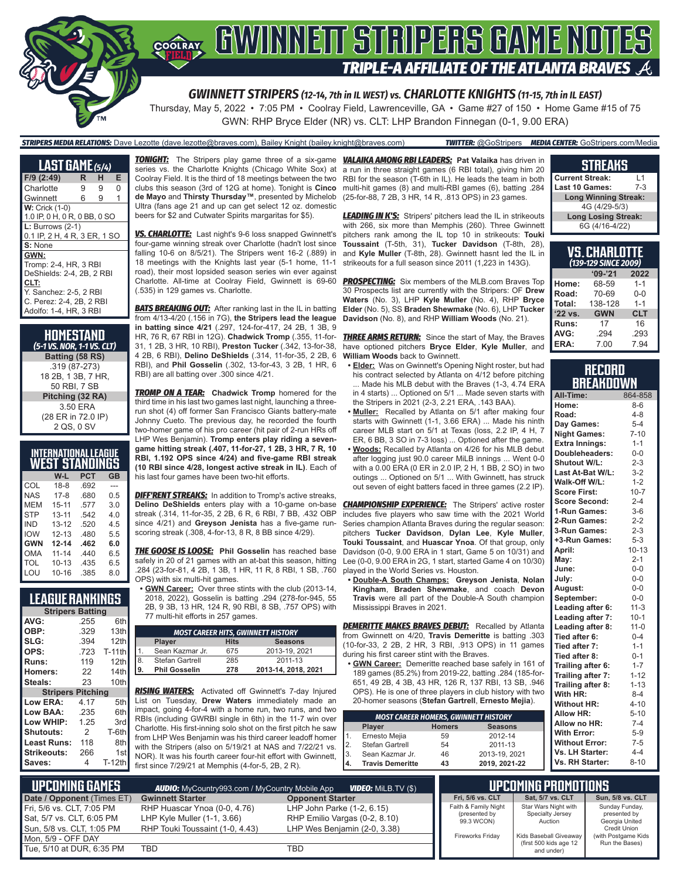

GWN: RHP Bryce Elder (NR) vs. CLT: LHP Brandon Finnegan (0-1, 9.00 ERA)

*STRIPERS MEDIA RELATIONS:* Dave Lezotte (dave.lezotte@braves.com), Bailey Knight (bailey.knight@braves.com) *TWITTER:* @GoStripers *MEDIA CENTER:* GoStripers.com/Media

| LAST GAME (5/4)              |   |   |   |
|------------------------------|---|---|---|
| F/9 (2:49)                   | R | н | Е |
| Charlotte                    | 9 | 9 | 0 |
| Gwinnett                     | 6 | 9 | 1 |
| <b>W:</b> Crick (1-0)        |   |   |   |
| 1.0 IP, 0 H, 0 R, 0 BB, 0 SO |   |   |   |
| $L: Burrows (2-1)$           |   |   |   |
| 0.1 IP, 2 H, 4 R, 3 ER, 1 SO |   |   |   |
| S: None                      |   |   |   |
| GWN:                         |   |   |   |
| Tromp: 2-4, HR, 3 RBI        |   |   |   |
| DeShields: 2-4, 2B, 2 RBI    |   |   |   |
| CLT:                         |   |   |   |
| Y. Sanchez: 2-5, 2 RBI       |   |   |   |
| C. Perez: 2-4, 2B, 2 RBI     |   |   |   |
| Adolfo: 1-4, HR, 3 RBI       |   |   |   |
|                              |   |   |   |

**HOMESTAND** *(5-1 VS. NOR, 1-1 VS. CLT)* **Batting (58 RS)** .319 (87-273) 18 2B, 1 3B, 7 HR, 50 RBI, 7 SB **Pitching (32 RA)** 3.50 ERA (28 ER in 72.0 IP) 2 QS, 0 SV

| <b>INTERNATIONAL LEAGUE</b><br>WEST STANDINGS |            |    |
|-----------------------------------------------|------------|----|
| W-I                                           | <b>PCT</b> | GR |

|            | W-L       | РСТ  | GB  |
|------------|-----------|------|-----|
| COL        | $18-8$    | .692 | --- |
| <b>NAS</b> | 17-8      | .680 | 0.5 |
| MEM        | $15 - 11$ | .577 | 3.0 |
| <b>STP</b> | $13 - 11$ | .542 | 4.0 |
| IND        | $13 - 12$ | .520 | 4.5 |
| <b>IOW</b> | $12 - 13$ | .480 | 5.5 |
| <b>GWN</b> | $12 - 14$ | .462 | 6.0 |
| OMA        | $11 - 14$ | .440 | 6.5 |
| <b>TOL</b> | $10 - 13$ | .435 | 6.5 |
| LOU        | $10 - 16$ | .385 | 8.0 |

## **LEAGUE RANKINGS**

| <b>Stripers Batting</b>  |      |               |
|--------------------------|------|---------------|
| AVG:                     | .255 | 6th           |
| OBP:                     | .329 | 13th          |
| SLG:                     | .394 | 12th          |
| OPS:                     | .723 | <b>T-11th</b> |
| Runs:                    | 119  | 12th          |
| <b>Homers:</b>           | 22   | 14th          |
| Steals:                  | 23   | 10th          |
| <b>Stripers Pitching</b> |      |               |
| Low ERA:                 | 4.17 | 5th           |
| <b>Low BAA:</b>          | .235 | 6th           |
| Low WHIP:                | 1.25 | 3rd           |
| Shutouts:                | 2    | T-6th         |
| Least Runs:              | 118  | 8th           |
| Strikeouts:              | 266  | 1st           |
| Saves:                   | 4    | <b>T-12th</b> |
|                          |      |               |

*TONIGHT:* The Stripers play game three of a six-game *VALAIKA AMONG RBI LEADERS:* **Pat Valaika** has driven in series vs. the Charlotte Knights (Chicago White Sox) at Coolray Field. It is the third of 18 meetings between the two clubs this season (3rd of 12G at home). Tonight is **Cinco de Mayo** and **Thirsty Thursday™**, presented by Michelob Ultra (fans age 21 and up can get select 12 oz. domestic beers for \$2 and Cutwater Spirits margaritas for \$5).

*VS. CHARLOTTE:* Last night's 9-6 loss snapped Gwinnett's four-game winning streak over Charlotte (hadn't lost since falling 10-6 on 8/5/21). The Stripers went 16-2 (.889) in 18 meetings with the Knights last year (5-1 home, 11-1 road), their most lopsided season series win ever against Charlotte. All-time at Coolray Field, Gwinnett is 69-60 (.535) in 129 games vs. Charlotte.

**BATS BREAKING OUT:** After ranking last in the IL in batting from 4/13-4/20 (.156 in 7G), **the Stripers lead the league in batting since 4/21** (.297, 124-for-417, 24 2B, 1 3B, 9 HR, 76 R, 67 RBI in 12G). **Chadwick Tromp** (.355, 11-for-31, 1 2B, 3 HR, 10 RBI), **Preston Tucker** (.342, 13-for-38, 4 2B, 6 RBI), **Delino DeShields** (.314, 11-for-35, 2 2B, 6 RBI), and **Phil Gosselin** (.302, 13-for-43, 3 2B, 1 HR, 6 RBI) are all batting over .300 since 4/21.

*TROMP ON A TEAR:* **Chadwick Tromp** homered for the third time in his last two games last night, launching a threerun shot (4) off former San Francisco Giants battery-mate Johnny Cueto. The previous day, he recorded the fourth two-homer game of his pro career (hit pair of 2-run HRs off LHP Wes Benjamin). **Tromp enters play riding a sevengame hitting streak (.407, 11-for-27, 1 2B, 3 HR, 7 R, 10 RBI, 1.192 OPS since 4/24) and five-game RBI streak (10 RBI since 4/28, longest active streak in IL)**. Each of his last four games have been two-hit efforts.

**DIFF'RENT STREAKS:** In addition to Tromp's active streaks, **Delino DeShields** enters play with a 10-game on-base streak (.314, 11-for-35, 2 2B, 6 R, 6 RBI, 7 BB, .432 OBP since 4/21) and **Greyson Jenista** has a five-game runscoring streak (.308, 4-for-13, 8 R, 8 BB since 4/29).

*THE GOOSE IS LOOSE:* **Phil Gosselin** has reached base safely in 20 of 21 games with an at-bat this season, hitting .284 (23-for-81, 4 2B, 1 3B, 1 HR, 11 R, 8 RBI, 1 SB, .760 OPS) with six multi-hit games.

**• GWN Career:** Over three stints with the club (2013-14, 2018, 2022), Gosselin is batting .294 (278-for-945, 55 2B, 9 3B, 13 HR, 124 R, 90 RBI, 8 SB, .757 OPS) with 77 multi-hit efforts in 257 games.

| <b>MOST CAREER HITS, GWINNETT HISTORY</b> |                      |             |                     |
|-------------------------------------------|----------------------|-------------|---------------------|
|                                           | <b>Player</b>        | <b>Hits</b> | <b>Seasons</b>      |
|                                           | Sean Kazmar Jr.      | 675         | 2013-19, 2021       |
| 8.                                        | Stefan Gartrell      | 285         | 2011-13             |
| 9.                                        | <b>Phil Gosselin</b> | 278         | 2013-14, 2018, 2021 |

*RISING WATERS:* Activated off Gwinnett's 7-day Injured List on Tuesday, **Drew Waters** immediately made an impact, going 4-for-4 with a home run, two runs, and two RBIs (including GWRBI single in 6th) in the 11-7 win over Charlotte. His first-inning solo shot on the first pitch he saw from LHP Wes Benjamin was his third career leadoff homer with the Stripers (also on 5/19/21 at NAS and 7/22/21 vs. NOR). It was his fourth career four-hit effort with Gwinnett, first since 7/29/21 at Memphis (4-for-5, 2B, 2 R).

a run in three straight games (6 RBI total), giving him 20 RBI for the season (T-6th in IL). He leads the team in both multi-hit games (8) and multi-RBI games (6), batting .284 (25-for-88, 7 2B, 3 HR, 14 R, .813 OPS) in 23 games.

**LEADING IN K'S:** Stripers' pitchers lead the IL in strikeouts with 266, six more than Memphis (260). Three Gwinnett pitchers rank among the IL top 10 in strikeouts: **Touki Toussaint** (T-5th, 31), **Tucker Davidson** (T-8th, 28), and **Kyle Muller** (T-8th, 28). Gwinnett hasnt led the IL in strikeouts for a full season since 2011 (1,223 in 143G).

**PROSPECTING:** Six members of the MLB.com Braves Top 30 Prospects list are currently with the Stripers: OF **Drew Waters** (No. 3), LHP **Kyle Muller** (No. 4), RHP **Bryce Elder** (No. 5), SS **Braden Shewmake** (No. 6), LHP **Tucker Davidson** (No. 8), and RHP **William Woods** (No. 21).

**THREE ARMS RETURN:** Since the start of May, the Braves have optioned pitchers **Bryce Elder**, **Kyle Muller**, and **William Woods** back to Gwinnett.

- **• Elder:** Was on Gwinnett's Opening Night roster, but had his contract selected by Atlanta on 4/12 before pitching ... Made his MLB debut with the Braves (1-3, 4.74 ERA in 4 starts) ... Optioned on 5/1 ... Made seven starts with the Stripers in 2021 (2-3, 2.21 ERA, .143 BAA).
- **• Muller:** Recalled by Atlanta on 5/1 after making four starts with Gwinnett (1-1, 3.66 ERA) ... Made his ninth career MLB start on 5/1 at Texas (loss, 2.2 IP, 4 H, 7 ER, 6 BB, 3 SO in 7-3 loss) ... Optioned after the game.
- **• Woods:** Recalled by Atlanta on 4/26 for his MLB debut after logging just 90.0 career MiLB innings ... Went 0-0 with a 0.00 ERA (0 ER in 2.0 IP, 2 H, 1 BB, 2 SO) in two outings ... Optioned on 5/1 ... With Gwinnett, has struck out seven of eight batters faced in three games (2.2 IP).

**CHAMPIONSHIP EXPERIENCE:** The Stripers' active roster includes five players who saw time with the 2021 World Series champion Atlanta Braves during the regular season: pitchers **Tucker Davidson**, **Dylan Lee**, **Kyle Muller**, **Touki Toussaint**, and **Huascar Ynoa**. Of that group, only Davidson (0-0, 9.00 ERA in 1 start, Game 5 on 10/31) and Lee (0-0, 9.00 ERA in 2G, 1 start, started Game 4 on 10/30) played in the World Series vs. Houston.

**• Double-A South Champs: Greyson Jenista**, **Nolan Kingham**, **Braden Shewmake**, and coach **Devon Travis** were all part of the Double-A South champion Mississippi Braves in 2021.

**DEMERITTE MAKES BRAVES DEBUT:** Recalled by Atlanta from Gwinnett on 4/20, **Travis Demeritte** is batting .303 (10-for-33, 2 2B, 2 HR, 3 RBI, .913 OPS) in 11 games during his first career stint with the Braves.

**• GWN Career:** Demeritte reached base safely in 161 of 189 games (85.2%) from 2019-22, batting .284 (185-for-651, 49 2B, 4 3B, 43 HR, 126 R, 137 RBI, 13 SB, .946 OPS). He is one of three players in club history with two 20-homer seasons (**Stefan Gartrell**, **Ernesto Mejia**).

| <b>MOST CAREER HOMERS, GWINNETT HISTORY</b> |
|---------------------------------------------|
|                                             |
| <b>Seasons</b>                              |
| 2012-14                                     |
| 2011-13                                     |
| 2013-19, 2021                               |
| 2019, 2021-22                               |
|                                             |

| <b>STREAKS</b>              |     |  |
|-----------------------------|-----|--|
| <b>Current Streak:</b>      | l 1 |  |
| Last 10 Games:              | 7-3 |  |
| <b>Long Winning Streak:</b> |     |  |
| 4G (4/29-5/3)               |     |  |
| <b>Long Losing Streak:</b>  |     |  |
| 6G (4/16-4/22)              |     |  |

| VS.CHARLOTTE<br>(139-129 SINCE 2009) |            |            |  |
|--------------------------------------|------------|------------|--|
|                                      | $'09-'21$  | 2022       |  |
| Home:                                | 68-59      | $1 - 1$    |  |
| Road:                                | 70-69      | $0 - 0$    |  |
| Total:                               | 138-128    | $1 - 1$    |  |
| '22 vs.                              | <b>GWN</b> | <b>CLT</b> |  |
| Runs:                                | 17         | 16         |  |
| AVG:                                 | .294       | .293       |  |
| ERA:                                 | 7.00       | 7 94       |  |

### **RECORD RRFAKDOWN**

| All-Time:             | 864-858   |
|-----------------------|-----------|
| Home:                 | $8-6$     |
| Road:                 | $4 - 8$   |
| Day Games:            | $5 - 4$   |
| <b>Night Games:</b>   | $7 - 10$  |
| <b>Extra Innings:</b> | $1 - 1$   |
| Doubleheaders:        | $0-0$     |
| <b>Shutout W/L:</b>   | $2 - 3$   |
| Last At-Bat W/L:      | $3 - 2$   |
| Walk-Off W/L:         | $1 - 2$   |
| <b>Score First:</b>   | $10 - 7$  |
| <b>Score Second:</b>  | $2 - 4$   |
| 1-Run Games:          | $3-6$     |
| 2-Run Games:          | $2 - 2$   |
| 3-Run Games:          | $2 - 3$   |
| +3-Run Games:         | $5 - 3$   |
| April:                | $10 - 13$ |
| May:                  | $2 - 1$   |
| June:                 | $0 - 0$   |
| July:                 | $0-0$     |
| August:               | $0-0$     |
| September:            | $0 - 0$   |
| Leading after 6:      | $11-3$    |
| Leading after 7:      | $10-1$    |
| Leading after 8:      | $11 - 0$  |
| Tied after 6:         | $0 - 4$   |
| Tied after 7:         | $1 - 1$   |
| Tied after 8:         | $0 - 1$   |
| Trailing after 6:     | $1 - 7$   |
| Trailing after 7:     | $1 - 12$  |
| Trailing after 8:     | $1 - 13$  |
| With HR:              | $8 - 4$   |
| <b>Without HR:</b>    | $4 - 10$  |
| <b>Allow HR:</b>      | $5 - 10$  |
| Allow no HR:          | $7 - 4$   |
| <b>With Error:</b>    | $5-9$     |
| <b>Without Error:</b> | $7 - 5$   |
| Vs. LH Starter:       | $4 - 4$   |
| Vs. RH Starter:       | $8 - 10$  |

| I UPCOMING GAMES I         | <b>AUDIO:</b> MyCountry993.com / MyCountry Mobile App | <b>VIDEO: MILB.TV (\$)</b>    |                             | <b>IPCOMING PROMOTIONS "</b>                     |                                        |
|----------------------------|-------------------------------------------------------|-------------------------------|-----------------------------|--------------------------------------------------|----------------------------------------|
| Date / Opponent (Times ET) | <b>Gwinnett Starter</b>                               | <b>Opponent Starter</b>       | Fri, 5/6 vs. CLT            | Sat, 5/7 vs. CLT                                 | Sun, 5/8 vs. CLT                       |
| Fri, 5/6 vs. CLT, 7:05 PM  | RHP Huascar Ynoa (0-0, 4.76)                          | LHP John Parke (1-2, 6.15)    | Faith & Family Night        | Star Wars Night with                             | Sunday Funday,                         |
| Sat, 5/7 vs. CLT, 6:05 PM  | LHP Kyle Muller $(1-1, 3.66)$                         | RHP Emilio Vargas (0-2, 8.10) | (presented by<br>99.3 WCON) | <b>Specialty Jersey</b><br>Auction               | presented by<br>Georgia United         |
| Sun, 5/8 vs. CLT, 1:05 PM  | RHP Touki Toussaint (1-0, 4.43)                       | LHP Wes Benjamin (2-0, 3.38)  |                             |                                                  | Credit Union                           |
| Mon, 5/9 - OFF DAY         |                                                       |                               | <b>Fireworks Fridav</b>     | Kids Baseball Giveaway<br>(first 500 kids age 12 | (with Postgame Kids)<br>Run the Bases) |
| Tue, 5/10 at DUR, 6:35 PM  | TBD                                                   | TBD                           |                             | and under)                                       |                                        |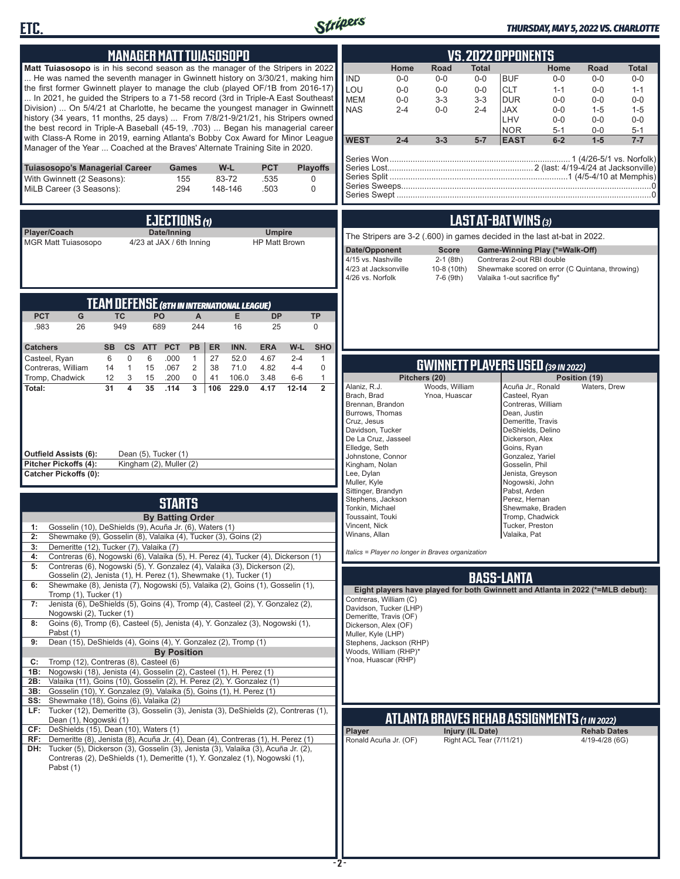



### *THURSDAY, MAY 5, 2022 VS. CHARLOTTE*

| <b>MANAGER MATT TUIASOSOPO</b>                                                                                                                                                                                                                                                                                                                                                                                                                                                                                                                                                                                                                                                                                                                                                                                                                                                                                                                                                                                                                                                                                                                                                                                                                                                                     | <b>VS.2022 OPPONENTS</b>                                                                                                                                                                                                                                                                                                                                                                                                                                                                                                                                                       |
|----------------------------------------------------------------------------------------------------------------------------------------------------------------------------------------------------------------------------------------------------------------------------------------------------------------------------------------------------------------------------------------------------------------------------------------------------------------------------------------------------------------------------------------------------------------------------------------------------------------------------------------------------------------------------------------------------------------------------------------------------------------------------------------------------------------------------------------------------------------------------------------------------------------------------------------------------------------------------------------------------------------------------------------------------------------------------------------------------------------------------------------------------------------------------------------------------------------------------------------------------------------------------------------------------|--------------------------------------------------------------------------------------------------------------------------------------------------------------------------------------------------------------------------------------------------------------------------------------------------------------------------------------------------------------------------------------------------------------------------------------------------------------------------------------------------------------------------------------------------------------------------------|
| Matt Tuiasosopo is in his second season as the manager of the Stripers in 2022<br>He was named the seventh manager in Gwinnett history on 3/30/21, making him<br>the first former Gwinnett player to manage the club (played OF/1B from 2016-17)<br>In 2021, he guided the Stripers to a 71-58 record (3rd in Triple-A East Southeast<br>Division)  On 5/4/21 at Charlotte, he became the youngest manager in Gwinnett<br>history (34 years, 11 months, 25 days)  From 7/8/21-9/21/21, his Stripers owned<br>the best record in Triple-A Baseball (45-19, .703)  Began his managerial career<br>with Class-A Rome in 2019, earning Atlanta's Bobby Cox Award for Minor League<br>Manager of the Year  Coached at the Braves' Alternate Training Site in 2020.                                                                                                                                                                                                                                                                                                                                                                                                                                                                                                                                      | Home<br>Road<br>Home<br>Road<br>Total<br>Total<br><b>IND</b><br>$0-0$<br>$0-0$<br><b>BUF</b><br>$0-0$<br>$0-0$<br>$0-0$<br>$0-0$<br>LOU<br><b>CLT</b><br>$0 - 0$<br>$0-0$<br>$0-0$<br>$1 - 1$<br>$0-0$<br>$1 - 1$<br><b>MEM</b><br>$3-3$<br>$3-3$<br><b>DUR</b><br>$0 - 0$<br>$0-0$<br>$0-0$<br>$0-0$<br><b>NAS</b><br>$0-0$<br>$2 - 4$<br><b>JAX</b><br>$0 - 0$<br>$2 - 4$<br>$1 - 5$<br>$1 - 5$<br>LHV<br>$0-0$<br>$0 - 0$<br>$0-0$<br><b>NOR</b><br>$5 - 1$<br>$0-0$<br>$5 - 1$<br><b>WEST</b><br>$1-5$<br>$2 - 4$<br>$3 - 3$<br>$5 - 7$<br><b>EAST</b><br>$6-2$<br>$7 - 7$ |
| <b>PCT</b><br>Tuiasosopo's Managerial Career<br>$W-L$<br><b>Playoffs</b><br><b>Games</b><br>83-72<br>With Gwinnett (2 Seasons):<br>155<br>.535<br>0<br>MiLB Career (3 Seasons):<br>294<br>148-146<br>.503<br>0                                                                                                                                                                                                                                                                                                                                                                                                                                                                                                                                                                                                                                                                                                                                                                                                                                                                                                                                                                                                                                                                                     |                                                                                                                                                                                                                                                                                                                                                                                                                                                                                                                                                                                |
| EJECTIONS $\omega$<br>Date/Inning<br>Player/Coach<br><b>Umpire</b><br><b>MGR Matt Tuiasosopo</b><br>4/23 at JAX / 6th Inning<br><b>HP Matt Brown</b>                                                                                                                                                                                                                                                                                                                                                                                                                                                                                                                                                                                                                                                                                                                                                                                                                                                                                                                                                                                                                                                                                                                                               | LAST AT-BAT WINS (3)<br>The Stripers are 3-2 (.600) in games decided in the last at-bat in 2022.<br>Date/Opponent<br><b>Score</b><br>Game-Winning Play (*=Walk-Off)<br>4/15 vs. Nashville<br>$2-1$ (8th)<br>Contreras 2-out RBI double<br>4/23 at Jacksonville<br>10-8 (10th)<br>Shewmake scored on error (C Quintana, throwing)<br>4/26 vs. Norfolk<br>7-6 (9th)<br>Valaika 1-out sacrifice fly*                                                                                                                                                                              |
| <b>TEAM DEFENSE (8TH IN INTERNATIONAL LEAGUE)</b><br><b>PCT</b><br>G<br><b>TC</b><br>PO<br>$\mathsf{A}$<br>E.<br><b>DP</b><br><b>TP</b><br>949<br>689<br>.983<br>26<br>244<br>16<br>25<br>$\mathbf 0$<br>INN.<br><b>ERA</b><br>W-L<br><b>SHO</b><br><b>Catchers</b><br>SB<br>cs<br><b>ATT</b><br><b>PCT</b><br>PB<br>ER                                                                                                                                                                                                                                                                                                                                                                                                                                                                                                                                                                                                                                                                                                                                                                                                                                                                                                                                                                            |                                                                                                                                                                                                                                                                                                                                                                                                                                                                                                                                                                                |
| Casteel, Ryan<br>6<br>$\mathbf 0$<br>6<br>.000<br>27<br>52.0<br>4.67<br>$2 - 4$<br>$\mathbf{1}$<br>$\mathbf{1}$<br>$\sqrt{2}$<br>Contreras, William<br>$\mathbf{1}$<br>15<br>.067<br>38<br>71.0<br>4.82<br>$4 - 4$<br>$\mathbf 0$<br>14<br>Tromp, Chadwick<br>12<br>3<br>.200<br>$\mathbf 0$<br>106.0<br>3.48<br>$6-6$<br>$\mathbf{1}$<br>15<br>41<br>$\overline{\mathbf{4}}$<br>35<br>$\overline{2}$<br>31<br>.114<br>3<br>106<br>229.0<br>$12 - 14$<br>Total:<br>4.17<br><b>Outfield Assists (6):</b><br>Dean (5), Tucker (1)<br>Kingham (2), Muller (2)<br>Pitcher Pickoffs (4):<br><b>Catcher Pickoffs (0):</b>                                                                                                                                                                                                                                                                                                                                                                                                                                                                                                                                                                                                                                                                                | <b>GWINNETT PLAYERS USED (39 IN 2022)</b><br>Pitchers (20)<br>Position (19)<br>Alaniz, R.J.<br>Woods, William<br>Acuña Jr., Ronald<br>Waters, Drew<br>Brach, Brad<br>Ynoa, Huascar<br>Casteel, Ryan<br>Brennan, Brandon<br>Contreras, William<br>Burrows, Thomas<br>Dean, Justin<br>Cruz, Jesus<br>Demeritte, Travis<br>Davidson, Tucker<br>DeShields, Delino<br>De La Cruz, Jasseel<br>Dickerson, Alex<br>Elledge, Seth<br>Goins, Ryan<br>Johnstone, Connor<br>Gonzalez, Yariel<br>Kingham, Nolan<br>Gosselin, Phil<br>Lee, Dylan<br>Jenista, Greyson                         |
| <b>STARTS</b><br><b>By Batting Order</b><br>Gosselin (10), DeShields (9), Acuña Jr. (6), Waters (1)<br>Shewmake (9), Gosselin (8), Valaika (4), Tucker (3), Goins (2)<br>2:<br>Demeritte (12), Tucker (7), Valaika (7)<br>3:<br>Contreras (6), Nogowski (6), Valaika (5), H. Perez (4), Tucker (4), Dickerson (1)<br>4:<br>Contreras (6), Nogowski (5), Y. Gonzalez (4), Valaika (3), Dickerson (2),<br>5:                                                                                                                                                                                                                                                                                                                                                                                                                                                                                                                                                                                                                                                                                                                                                                                                                                                                                         | Muller, Kyle<br>Nogowski, John<br>Sittinger, Brandyn<br>Pabst, Arden<br>Stephens, Jackson<br>Perez, Hernan<br>Tonkin, Michael<br>Shewmake, Braden<br>Toussaint, Touki<br>Tromp, Chadwick<br>Vincent, Nick<br>Tucker, Preston<br>Winans, Allan<br>Valaika, Pat<br>Italics = Player no longer in Braves organization                                                                                                                                                                                                                                                             |
| Gosselin (2), Jenista (1), H. Perez (1), Shewmake (1), Tucker (1)<br>Shewmake (8), Jenista (7), Nogowski (5), Valaika (2), Goins (1), Gosselin (1),<br>6:<br>Tromp (1), Tucker (1)<br>Jenista (6), DeShields (5), Goins (4), Tromp (4), Casteel (2), Y. Gonzalez (2),<br>7:<br>Nogowski (2), Tucker (1)<br>Goins (6), Tromp (6), Casteel (5), Jenista (4), Y. Gonzalez (3), Nogowski (1),<br>8:<br>Pabst (1)<br>Dean (15), DeShields (4), Goins (4), Y. Gonzalez (2), Tromp (1)<br>9:<br><b>By Position</b><br>Tromp (12), Contreras (8), Casteel (6)<br>C:<br>Nogowski (18), Jenista (4), Gosselin (2), Casteel (1), H. Perez (1)<br>1B:<br>Valaika (11), Goins (10), Gosselin (2), H. Perez (2), Y. Gonzalez (1)<br>2B:<br>3B: Gosselin (10), Y. Gonzalez (9), Valaika (5), Goins (1), H. Perez (1)<br>SS: Shewmake (18), Goins (6), Valaika (2)<br>LF: Tucker (12), Demeritte (3), Gosselin (3), Jenista (3), DeShields (2), Contreras (1),<br>Dean (1), Nogowski (1)<br>CF: DeShields (15), Dean (10), Waters (1)<br>RF: Demeritte (8), Jenista (8), Acuña Jr. (4), Dean (4), Contreras (1), H. Perez (1)<br>DH: Tucker (5), Dickerson (3), Gosselin (3), Jenista (3), Valaika (3), Acuña Jr. (2),<br>Contreras (2), DeShields (1), Demeritte (1), Y. Gonzalez (1), Nogowski (1),<br>Pabst (1) | <b>BASS-LANTA</b><br>Eight players have played for both Gwinnett and Atlanta in 2022 (*=MLB debut):<br>Contreras, William (C)<br>Davidson, Tucker (LHP)<br>Demeritte, Travis (OF)<br>Dickerson, Alex (OF)<br>Muller, Kyle (LHP)<br>Stephens, Jackson (RHP)<br>Woods, William (RHP)*<br>Ynoa, Huascar (RHP)<br><u>ATLANTA BRAVES REHAB ASSIGNMENTS (1 IN 2022)</u><br>Injury (IL Date)<br>Player<br><b>Rehab Dates</b><br>Right ACL Tear (7/11/21)<br>Ronald Acuña Jr. (OF)<br>4/19-4/28 (6G)<br>-2-                                                                            |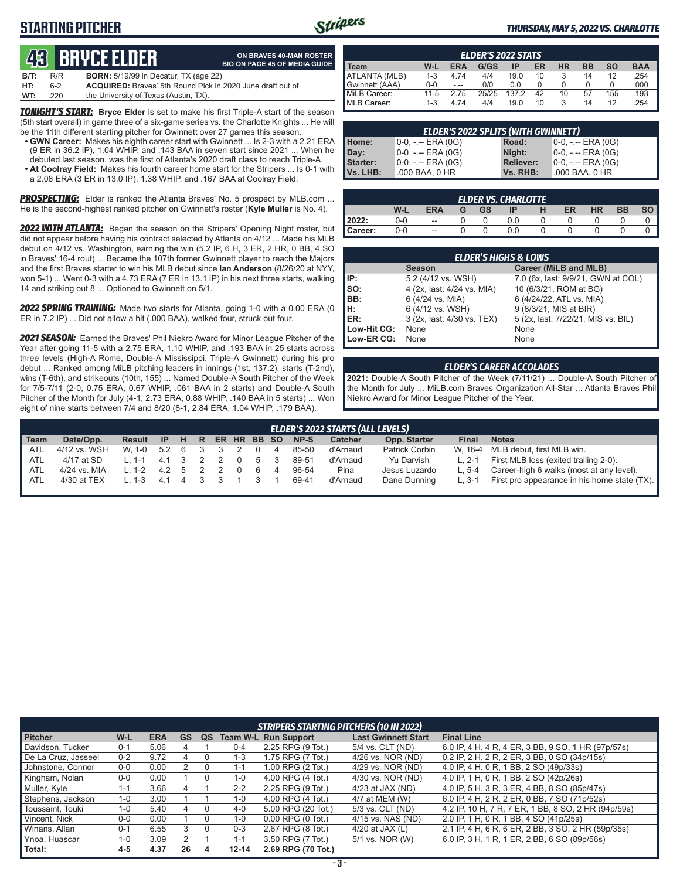# **STARTING PITCHER**



**ON BRAVES 40-MAN ROSTER**

### *THURSDAY, MAY 5, 2022 VS. CHARLOTTE*

# **43****Bryce Elder**

|      |     | GO, DIIYGLEEDEN                                                   | <b>BIO ON PAGE 45 OF MEDIA GUIDE</b> |
|------|-----|-------------------------------------------------------------------|--------------------------------------|
| B/T: | R/R | <b>BORN:</b> 5/19/99 in Decatur, TX (age 22)                      |                                      |
| HT:  | հ-2 | <b>ACQUIRED:</b> Braves' 5th Round Pick in 2020 June draft out of |                                      |
| WT:  | 220 | the University of Texas (Austin, TX).                             |                                      |

*TONIGHT'S START:* **Bryce Elder** is set to make his first Triple-A start of the season (5th start overall) in game three of a six-game series vs. the Charlotte Knights ... He will be the 11th different starting pitcher for Gwinnett over 27 games this season.

- **• GWN Career:** Makes his eighth career start with Gwinnett ... Is 2-3 with a 2.21 ERA (9 ER in 36.2 IP), 1.04 WHIP, and .143 BAA in seven start since 2021 ... When he debuted last season, was the first of Atlanta's 2020 draft class to reach Triple-A.
- **• At Coolray Field:** Makes his fourth career home start for the Stripers ... Is 0-1 with a 2.08 ERA (3 ER in 13.0 IP), 1.38 WHIP, and .167 BAA at Coolray Field.

*PROSPECTING:* Elder is ranked the Atlanta Braves' No. 5 prospect by MLB.com ... He is the second-highest ranked pitcher on Gwinnett's roster (**Kyle Muller** is No. 4).

*2022 WITH ATLANTA:* Began the season on the Stripers' Opening Night roster, but did not appear before having his contract selected by Atlanta on 4/12 ... Made his MLB debut on 4/12 vs. Washington, earning the win (5.2 IP, 6 H, 3 ER, 2 HR, 0 BB, 4 SO in Braves' 16-4 rout) ... Became the 107th former Gwinnett player to reach the Majors and the first Braves starter to win his MLB debut since **Ian Anderson** (8/26/20 at NYY, won 5-1) ... Went 0-3 with a 4.73 ERA (7 ER in 13.1 IP) in his next three starts, walking 14 and striking out 8 ... Optioned to Gwinnett on 5/1.

*2022 SPRING TRAINING:* Made two starts for Atlanta, going 1-0 with a 0.00 ERA (0 ER in 7.2 IP) ... Did not allow a hit (.000 BAA), walked four, struck out four.

*2021 SEASON:* Earned the Braves' Phil Niekro Award for Minor League Pitcher of the Year after going 11-5 with a 2.75 ERA, 1.10 WHIP, and .193 BAA in 25 starts across three levels (High-A Rome, Double-A Mississippi, Triple-A Gwinnett) during his pro debut ... Ranked among MiLB pitching leaders in innings (1st, 137.2), starts (T-2nd), wins (T-6th), and strikeouts (10th, 155) ... Named Double-A South Pitcher of the Week for 7/5-7/11 (2-0, 0.75 ERA, 0.67 WHIP, .061 BAA in 2 starts) and Double-A South Pitcher of the Month for July (4-1, 2.73 ERA, 0.88 WHIP, .140 BAA in 5 starts) ... Won eight of nine starts between 7/4 and 8/20 (8-1, 2.84 ERA, 1.04 WHIP, .179 BAA).

| <b>ELDER'S 2022 STATS</b>                                                                     |          |      |       |       |    |    |    |     |      |  |  |  |  |
|-----------------------------------------------------------------------------------------------|----------|------|-------|-------|----|----|----|-----|------|--|--|--|--|
| <b>BAA</b><br>$W-L$<br>ER<br><b>HR</b><br><b>Team</b><br>G/GS<br><b>ERA</b><br>SΟ<br>вв<br>ΙP |          |      |       |       |    |    |    |     |      |  |  |  |  |
| <b>ATLANTA (MLB)</b>                                                                          | $1 - 3$  | 4 74 | 4/4   | 19.0  | 10 |    | 14 | 12  | .254 |  |  |  |  |
| Gwinnett (AAA)                                                                                | $0 - 0$  | - -- | 0/0   | 0.0   |    |    |    |     | .000 |  |  |  |  |
| MiLB Career:                                                                                  | $11 - 5$ | 2.75 | 25/25 | 137.2 | 42 | 10 | 57 | 155 | .193 |  |  |  |  |
| <b>IMLB Career:</b>                                                                           | 1-3      | 4.74 | 4/4   | 19.0  | 10 |    | 14 | 12  | .254 |  |  |  |  |

| <b>ELDER'S 2022 SPLITS (WITH GWINNETT)</b> |                       |                  |                    |  |  |  |  |  |  |  |  |
|--------------------------------------------|-----------------------|------------------|--------------------|--|--|--|--|--|--|--|--|
| Home:                                      | $0-0, - -$ ERA $(0G)$ | Road:            | 0-0, -.-- ERA (0G) |  |  |  |  |  |  |  |  |
| Day:                                       | $0-0, - -$ ERA $(0G)$ | Night:           | 0-0, -.-- ERA (0G) |  |  |  |  |  |  |  |  |
| Starter:                                   | $0-0, - -$ ERA $(0G)$ | <b>Reliever:</b> | 0-0, -.-- ERA (0G) |  |  |  |  |  |  |  |  |
| <b>IVs. LHB:</b>                           | .000 BAA, 0 HR        | Vs. RHB:         | .000 BAA, 0 HR     |  |  |  |  |  |  |  |  |

| <b>ELDER VS. CHARLOTTE</b> |     |                          |   |           |     |   |           |           |           |  |  |
|----------------------------|-----|--------------------------|---|-----------|-----|---|-----------|-----------|-----------|--|--|
|                            | W-L | <b>ERA</b>               | G | <b>GS</b> | IP  | н | <b>ER</b> | <b>HR</b> | <b>BB</b> |  |  |
| 2022:                      | 0-0 | $\overline{\phantom{a}}$ |   |           | 0.0 |   |           |           |           |  |  |
| Career:                    | 0-0 | --                       |   |           | 0.0 |   |           |           |           |  |  |

|             | <b>ELDER'S HIGHS &amp; LOWS</b> |                                    |  |  |  |  |  |  |  |  |  |
|-------------|---------------------------------|------------------------------------|--|--|--|--|--|--|--|--|--|
|             | <b>Season</b>                   | Career (MiLB and MLB)              |  |  |  |  |  |  |  |  |  |
| IIP:        | 5.2 (4/12 vs. WSH)              | 7.0 (6x, last: 9/9/21, GWN at COL) |  |  |  |  |  |  |  |  |  |
| Iso:        | 4 (2x, last: 4/24 vs. MIA)      | 10 (6/3/21, ROM at BG)             |  |  |  |  |  |  |  |  |  |
| BB:         | 6 (4/24 vs. MIA)                | 6 (4/24/22, ATL vs. MIA)           |  |  |  |  |  |  |  |  |  |
| Iн:         | 6 (4/12 vs. WSH)                | 9 (8/3/21, MIS at BIR)             |  |  |  |  |  |  |  |  |  |
| <b>IER:</b> | 3 (2x, last: 4/30 vs. TEX)      | 5 (2x, last: 7/22/21, MIS vs. BIL) |  |  |  |  |  |  |  |  |  |
| Low-Hit CG: | None                            | None                               |  |  |  |  |  |  |  |  |  |
| Low-ER CG:  | None                            | None                               |  |  |  |  |  |  |  |  |  |

### *ELDER'S CAREER ACCOLADES*

**2021:** Double-A South Pitcher of the Week (7/11/21) ... Double-A South Pitcher of the Month for July ... MiLB.com Braves Organization All-Star ... Atlanta Braves Phil Niekro Award for Minor League Pitcher of the Year.

|                    | <b>ELDER'S 2022 STARTS (ALL LEVELS)</b>                                                                                        |          |     |  |  |  |  |  |  |       |          |                |           |                                              |
|--------------------|--------------------------------------------------------------------------------------------------------------------------------|----------|-----|--|--|--|--|--|--|-------|----------|----------------|-----------|----------------------------------------------|
| Team               | Date/Opp.<br><b>Final</b><br>NP-S<br><b>Catcher</b><br>Opp. Starter<br>ER HR BB SO<br><b>Notes</b><br>Result<br>н<br>- IP<br>R |          |     |  |  |  |  |  |  |       |          |                |           |                                              |
| <b>ATL</b>         | 4/12 vs. WSH                                                                                                                   | W. 1-0   | 5.2 |  |  |  |  |  |  | 85-50 | d'Arnaud | Patrick Corbin | W. 16-4   | MLB debut, first MLB win.                    |
| $\blacksquare$ ATL | 4/17 at SD                                                                                                                     | L. 1-1   | 4.1 |  |  |  |  |  |  | 89-51 | d'Arnaud | Yu Darvish     | ∟. 2-1    | First MLB loss (exited trailing 2-0).        |
| l ATL              | 4/24 vs. MIA                                                                                                                   | $.1 - 2$ | 4.2 |  |  |  |  |  |  | 96-54 | Pina     | Jesus Luzardo  | $L.5 - 4$ | Career-high 6 walks (most at any level).     |
| I ATL              | 4/30 at TEX                                                                                                                    | . 1-3    | 41  |  |  |  |  |  |  | 69-41 | d'Arnaud | Dane Dunning   | $L.3 - 1$ | First pro appearance in his home state (TX). |
|                    |                                                                                                                                |          |     |  |  |  |  |  |  |       |          |                |           |                                              |

|                     |         |            |           |          |           | <b>STRIPERS STARTING PITCHERS (10 IN 2022)</b> |                            |                                                     |
|---------------------|---------|------------|-----------|----------|-----------|------------------------------------------------|----------------------------|-----------------------------------------------------|
| <b>Pitcher</b>      | W-L     | <b>ERA</b> | <b>GS</b> | QS       |           | <b>Team W-L Run Support</b>                    | <b>Last Gwinnett Start</b> | <b>Final Line</b>                                   |
| Davidson, Tucker    | $0 - 1$ | 5.06       |           |          | $0 - 4$   | 2.25 RPG (9 Tot.)                              | 5/4 vs. CLT (ND)           | 6.0 IP, 4 H, 4 R, 4 ER, 3 BB, 9 SO, 1 HR (97p/57s)  |
| De La Cruz, Jasseel | $0 - 2$ | 9.72       | 4         |          | $1 - 3$   | 1.75 RPG (7 Tot.)                              | 4/26 vs. NOR (ND)          | 0.2 IP, 2 H, 2 R, 2 ER, 3 BB, 0 SO (34p/15s)        |
| Johnstone, Connor   | $0-0$   | 0.00       | 2         | $\Omega$ | $1 - 1$   | 1.00 RPG (2 Tot.)                              | 4/29 vs. NOR (ND)          | 4.0 IP, 4 H, 0 R, 1 BB, 2 SO (49p/33s)              |
| Kingham, Nolan      | $0 - 0$ | 0.00       |           |          | $1 - 0$   | 4.00 RPG (4 Tot.)                              | 4/30 vs. NOR (ND)          | 4.0 IP, 1 H, 0 R, 1 BB, 2 SO (42p/26s)              |
| Muller, Kyle        | $1 - 1$ | 3.66       |           |          | $2 - 2$   | 2.25 RPG (9 Tot.)                              | $4/23$ at JAX (ND)         | 4.0 IP, 5 H, 3 R, 3 ER, 4 BB, 8 SO (85p/47s)        |
| Stephens, Jackson   | $1 - 0$ | 3.00       |           |          | $1 - 0$   | 4.00 RPG (4 Tot.)                              | 4/7 at MEM (W)             | 6.0 IP, 4 H, 2 R, 2 ER, 0 BB, 7 SO (71p/52s)        |
| Toussaint, Touki    | 1-0     | 5.40       |           |          | $4 - 0$   | 5.00 RPG (20 Tot.)                             | 5/3 vs. CLT (ND)           | 4.2 IP, 10 H, 7 R, 7 ER, 1 BB, 8 SO, 2 HR (94p/59s) |
| Vincent, Nick       | $0 - 0$ | 0.00       |           |          | $1 - 0$   | $0.00$ RPG $(0$ Tot.)                          | 4/15 vs. NAS (ND)          | 2.0 IP, 1 H, 0 R, 1 BB, 4 SO (41p/25s)              |
| Winans, Allan       | $0 - 1$ | 6.55       |           |          | $0 - 3$   | 2.67 RPG (8 Tot.)                              | 4/20 at JAX $(L)$          | 2.1 IP, 4 H, 6 R, 6 ER, 2 BB, 3 SO, 2 HR (59p/35s)  |
| Ynoa, Huascar       | $1 - 0$ | 3.09       |           |          | $1 - 1$   | 3.50 RPG (7 Tot.)                              | 5/1 vs. NOR (W)            | 6.0 IP, 3 H, 1 R, 1 ER, 2 BB, 6 SO (89p/56s)        |
| Total:              | $4 - 5$ | 4.37       | 26        | 4        | $12 - 14$ | 2.69 RPG (70 Tot.)                             |                            |                                                     |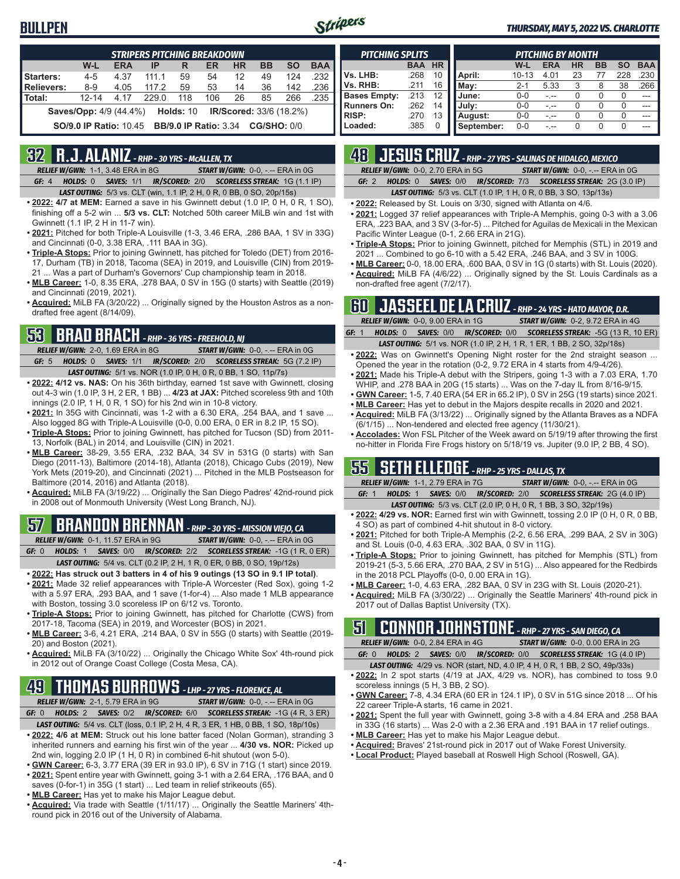## **BULLPEN**



### *THURSDAY, MAY 5, 2022 VS. CHARLOTTE*

|            | <b>STRIPERS PITCHING BREAKDOWN</b>                                                  |            |       |     |     |           |           |           |            |  |  |  |
|------------|-------------------------------------------------------------------------------------|------------|-------|-----|-----|-----------|-----------|-----------|------------|--|--|--|
|            | W-L                                                                                 | <b>ERA</b> | IP    | R   | ER  | <b>HR</b> | <b>BB</b> | <b>SO</b> | <b>BAA</b> |  |  |  |
| Starters:  | 4-5                                                                                 | 4.37       | 111 1 | 59  | 54  | 12        | 49        | 124       | .232       |  |  |  |
| Relievers: | $8 - 9$                                                                             | 4.05       | 117.2 | 59  | 53  | 14        | 36        | 142       | .236       |  |  |  |
| l Total:   | $12 - 14$                                                                           | 4 17       | 229.0 | 118 | 106 | 26        | 85        | 266       | .235       |  |  |  |
|            | <b>IR/Scored: 33/6 (18.2%)</b><br><b>Saves/Opp:</b> 4/9 (44.4%)<br><b>Holds: 10</b> |            |       |     |     |           |           |           |            |  |  |  |
|            | <b>CG/SHO: 0/0</b><br><b>SO/9.0 IP Ratio: 10.45</b><br><b>BB/9.0 IP Ratio: 3.34</b> |            |       |     |     |           |           |           |            |  |  |  |

## **32 R.J. ALANIZ** *- RHP - 30 YRS - McALLEN, TX*

*RELIEF W/GWN:*1-1, 3.48 ERA in 8G *START W/GWN:*0-0, -.-- ERA in 0G *GF:*4 *HOLDS:*0 *SAVES:*1/1 *IR/SCORED:*2/0 *SCORELESS STREAK:*1G (1.1 IP)

*LAST OUTING:*5/3 vs. CLT (win, 1.1 IP, 2 H, 0 R, 0 BB, 0 SO, 20p/15s)

- **• 2022: 4/7 at MEM:** Earned a save in his Gwinnett debut (1.0 IP, 0 H, 0 R, 1 SO), finishing off a 5-2 win ... **5/3 vs. CLT:** Notched 50th career MiLB win and 1st with Gwinnett (1.1 IP, 2 H in 11-7 win).
- **• 2021:** Pitched for both Triple-A Louisville (1-3, 3.46 ERA, .286 BAA, 1 SV in 33G) and Cincinnati (0-0, 3.38 ERA, .111 BAA in 3G).
- **• Triple-A Stops:** Prior to joining Gwinnett, has pitched for Toledo (DET) from 2016- 17, Durham (TB) in 2018, Tacoma (SEA) in 2019, and Louisville (CIN) from 2019- 21 ... Was a part of Durham's Governors' Cup championship team in 2018.
- **• MLB Career:** 1-0, 8.35 ERA, .278 BAA, 0 SV in 15G (0 starts) with Seattle (2019) and Cincinnati (2019, 2021).
- **• Acquired:** MiLB FA (3/20/22) ... Originally signed by the Houston Astros as a nondrafted free agent (8/14/09).

## **53 BRAD BRACH** *- RHP - 36 YRS - FREEHOLD, NJ*

*RELIEF W/GWN:*2-0, 1.69 ERA in 8G *START W/GWN:*0-0, -.-- ERA in 0G *GF:*5 *HOLDS:*0 *SAVES:*1/1 *IR/SCORED:*2/0 *SCORELESS STREAK:*5G (7.2 IP) *LAST OUTING:*5/1 vs. NOR (1.0 IP, 0 H, 0 R, 0 BB, 1 SO, 11p/7s)

- **• 2022: 4/12 vs. NAS:** On his 36th birthday, earned 1st save with Gwinnett, closing out 4-3 win (1.0 IP, 3 H, 2 ER, 1 BB) ... **4/23 at JAX:** Pitched scoreless 9th and 10th innings (2.0 IP, 1 H, 0 R, 1 SO) for his 2nd win in 10-8 victory.
- **• 2021:** In 35G with Cincinnati, was 1-2 with a 6.30 ERA, .254 BAA, and 1 save ... Also logged 8G with Triple-A Louisville (0-0, 0.00 ERA, 0 ER in 8.2 IP, 15 SO).
- **• Triple-A Stops:** Prior to joining Gwinnett, has pitched for Tucson (SD) from 2011- 13, Norfolk (BAL) in 2014, and Louisville (CIN) in 2021.
- **• MLB Career:** 38-29, 3.55 ERA, .232 BAA, 34 SV in 531G (0 starts) with San Diego (2011-13), Baltimore (2014-18), Atlanta (2018), Chicago Cubs (2019), New York Mets (2019-20), and Cincinnati (2021) ... Pitched in the MLB Postseason for Baltimore (2014, 2016) and Atlanta (2018).
- **• Acquired:** MiLB FA (3/19/22) ... Originally the San Diego Padres' 42nd-round pick in 2008 out of Monmouth University (West Long Branch, NJ).

# **57 BRANDON BRENNAN** *- RHP - 30 YRS - MISSION VIEJO, CA*

*RELIEF W/GWN:*0-1, 11.57 ERA in 9G *START W/GWN:*0-0, -.-- ERA in 0G *GF:*0 *HOLDS:*1 *SAVES:*0/0 *IR/SCORED:*2/2 *SCORELESS STREAK:*-1G (1 R, 0 ER) *LAST OUTING:*5/4 vs. CLT (0.2 IP, 2 H, 1 R, 0 ER, 0 BB, 0 SO, 19p/12s)

- **• 2022: Has struck out 3 batters in 4 of his 9 outings (13 SO in 9.1 IP total)**. **• 2021:** Made 32 relief appearances with Triple-A Worcester (Red Sox), going 1-2 with a 5.97 ERA, .293 BAA, and 1 save (1-for-4) ... Also made 1 MLB appearance
- with Boston, tossing 3.0 scoreless IP on 6/12 vs. Toronto. **• Triple-A Stops:** Prior to joining Gwinnett, has pitched for Charlotte (CWS) from 2017-18, Tacoma (SEA) in 2019, and Worcester (BOS) in 2021.
- **• MLB Career:** 3-6, 4.21 ERA, .214 BAA, 0 SV in 55G (0 starts) with Seattle (2019- 20) and Boston (2021).
- **• Acquired:** MiLB FA (3/10/22) ... Originally the Chicago White Sox' 4th-round pick in 2012 out of Orange Coast College (Costa Mesa, CA).

# **49 THOMAS BURROWS** *- LHP - 27 YRS - FLORENCE, AL*

*RELIEF W/GWN:*2-1, 5.79 ERA in 9G *START W/GWN:*0-0, -.-- ERA in 0G

- *GF:*0 *HOLDS:*2 *SAVES:*0/2 *IR/SCORED:*6/0 *SCORELESS STREAK:*-1G (4 R, 3 ER) *LAST OUTING:*5/4 vs. CLT (loss, 0.1 IP, 2 H, 4 R, 3 ER, 1 HB, 0 BB, 1 SO, 18p/10s)
- **• 2022: 4/6 at MEM:** Struck out his lone batter faced (Nolan Gorman), stranding 3 inherited runners and earning his first win of the year ... **4/30 vs. NOR:** Picked up 2nd win, logging 2.0 IP (1 H, 0 R) in combined 6-hit shutout (won 5-0).
- **• GWN Career:** 6-3, 3.77 ERA (39 ER in 93.0 IP), 6 SV in 71G (1 start) since 2019.
- **• 2021:** Spent entire year with Gwinnett, going 3-1 with a 2.64 ERA, .176 BAA, and 0 saves (0-for-1) in 35G (1 start) ... Led team in relief strikeouts (65).
- **• MLB Career:** Has yet to make his Major League debut.
- **• Acquired:** Via trade with Seattle (1/11/17) ... Originally the Seattle Mariners' 4thround pick in 2016 out of the University of Alabama.

| <b>PITCHING SPLITS</b> |            |           |            | <b>PITCHING BY MONTH</b> |            |           |              |              |            |  |  |
|------------------------|------------|-----------|------------|--------------------------|------------|-----------|--------------|--------------|------------|--|--|
|                        | <b>BAA</b> | <b>HR</b> |            | W-L                      | <b>ERA</b> | <b>HR</b> | <b>BB</b>    | SΟ           | <b>BAA</b> |  |  |
| Vs. LHB:               | .268       | 10        | April:     | $10 - 13$                | 4.01       | 23        | 77           | 228          | .230       |  |  |
| Vs. RHB:               | .211       | 16        | May:       | $2 - 1$                  | 5.33       |           | 8            | 38           | 266        |  |  |
| <b>Bases Empty:</b>    | .213       | 12        | June:      | $0 - 0$                  |            |           | 0            |              |            |  |  |
| <b>Runners On:</b>     | .262       | 14        | July:      | $0 - 0$                  |            |           | <sup>0</sup> | $\Omega$     |            |  |  |
| <b>RISP:</b>           | .270       | 13        | August:    | $0 - 0$                  |            |           | <sup>0</sup> | $\mathbf{I}$ |            |  |  |
| Loaded:                | .385       |           | September: | $0 - 0$                  |            |           | 0            | $\Omega$     |            |  |  |

# **48 JESUS CRUZ** *- RHP - 27 YRS - SALINAS DE HIDALGO, MEXICO*

*RELIEF W/GWN:*0-0, 2.70 ERA in 5G *START W/GWN:*0-0, -.-- ERA in 0G

*GF:*2 *HOLDS:*0 *SAVES:*0/0 *IR/SCORED:*7/3 *SCORELESS STREAK:*2G (3.0 IP)

*LAST OUTING:*5/3 vs. CLT (1.0 IP, 1 H, 0 R, 0 BB, 3 SO, 13p/13s)

- **• 2022:** Released by St. Louis on 3/30, signed with Atlanta on 4/6. **• 2021:** Logged 37 relief appearances with Triple-A Memphis, going 0-3 with a 3.06
- ERA, .223 BAA, and 3 SV (3-for-5) ... Pitched for Aguilas de Mexicali in the Mexican Pacific Winter League (0-1, 2.66 ERA in 21G). **• Triple-A Stops:** Prior to joining Gwinnett, pitched for Memphis (STL) in 2019 and
- 2021 ... Combined to go 6-10 with a 5.42 ERA, .246 BAA, and 3 SV in 100G.
- **• MLB Career:** 0-0, 18.00 ERA, .600 BAA, 0 SV in 1G (0 starts) with St. Louis (2020). **• Acquired:** MiLB FA (4/6/22) ... Originally signed by the St. Louis Cardinals as a non-drafted free agent (7/2/17).

|       |          |                                          |                                                                               | <b>RTI JASSEEL DE LA CRUZ</b> - RHP - 24 YRS - HATO MAYOR, D.R.      |  |
|-------|----------|------------------------------------------|-------------------------------------------------------------------------------|----------------------------------------------------------------------|--|
|       |          | <b>RELIEF W/GWN: 0-0. 9.00 ERA in 1G</b> |                                                                               | START W/GWN: 0-2, 9.72 ERA in 4G                                     |  |
| GF: 1 | HOLDS: 0 |                                          |                                                                               | <b>SAVES: 0/0 IR/SCORED: 0/0 SCORELESS STREAK: -5G (13 R, 10 ER)</b> |  |
|       |          |                                          | <b>LAST OUTING:</b> 5/1 vs. NOR (1.0 IP, 2 H, 1 R, 1 ER, 1 BB, 2 SO, 32p/18s) |                                                                      |  |

- **• 2022:** Was on Gwinnett's Opening Night roster for the 2nd straight season ... Opened the year in the rotation (0-2, 9.72 ERA in 4 starts from 4/9-4/26).
- **• 2021:** Made his Triple-A debut with the Stripers, going 1-3 with a 7.03 ERA, 1.70 WHIP, and .278 BAA in 20G (15 starts) ... Was on the 7-day IL from 8/16-9/15.
- **• GWN Career:** 1-5, 7.40 ERA (54 ER in 65.2 IP), 0 SV in 25G (19 starts) since 2021.
- **• MLB Career:** Has yet to debut in the Majors despite recalls in 2020 and 2021. **• Acquired:** MiLB FA (3/13/22) ... Originally signed by the Atlanta Braves as a NDFA
- (6/1/15) ... Non-tendered and elected free agency (11/30/21). **• Accolades:** Won FSL Pitcher of the Week award on 5/19/19 after throwing the first
- no-hitter in Florida Fire Frogs history on 5/18/19 vs. Jupiter (9.0 IP, 2 BB, 4 SO).

## **55 SETH ELLEDGE** *- RHP - 25 YRS - DALLAS, TX*

*RELIEF W/GWN:*1-1, 2.79 ERA in 7G *START W/GWN:*0-0, -.-- ERA in 0G *GF:*1 *HOLDS:*1 *SAVES:*0/0 *IR/SCORED:*2/0 *SCORELESS STREAK:*2G (4.0 IP)

- *LAST OUTING:*5/3 vs. CLT (2.0 IP, 0 H, 0 R, 1 BB, 3 SO, 32p/19s) **• 2022: 4/29 vs. NOR:** Earned first win with Gwinnett, tossing 2.0 IP (0 H, 0 R, 0 BB,
- 4 SO) as part of combined 4-hit shutout in 8-0 victory.
- **• 2021:** Pitched for both Triple-A Memphis (2-2, 6.56 ERA, .299 BAA, 2 SV in 30G) and St. Louis (0-0, 4.63 ERA, .302 BAA, 0 SV in 11G).
- **• Triple-A Stops:** Prior to joining Gwinnett, has pitched for Memphis (STL) from 2019-21 (5-3, 5.66 ERA, .270 BAA, 2 SV in 51G) ... Also appeared for the Redbirds in the 2018 PCL Playoffs (0-0, 0.00 ERA in 1G).
- **• MLB Career:** 1-0, 4.63 ERA, .282 BAA, 0 SV in 23G with St. Louis (2020-21).
- **• Acquired:** MiLB FA (3/30/22) ... Originally the Seattle Mariners' 4th-round pick in 2017 out of Dallas Baptist University (TX).

# **51 CONNOR JOHNSTONE** *- RHP - 27 YRS - SAN DIEGO, CA*

*RELIEF W/GWN:*0-0, 2.84 ERA in 4G *START W/GWN:*0-0, 0.00 ERA in 2G *GF:*0 *HOLDS:*2 *SAVES:*0/0 *IR/SCORED:*0/0 *SCORELESS STREAK:*1G (4.0 IP)

- *LAST OUTING:*4/29 vs. NOR (start, ND, 4.0 IP, 4 H, 0 R, 1 BB, 2 SO, 49p/33s)
- **• 2022:** In 2 spot starts (4/19 at JAX, 4/29 vs. NOR), has combined to toss 9.0 scoreless innings (5 H, 3 BB, 2 SO).
- **• GWN Career:** 7-8, 4.34 ERA (60 ER in 124.1 IP), 0 SV in 51G since 2018 ... Of his 22 career Triple-A starts, 16 came in 2021.
- **• 2021:** Spent the full year with Gwinnett, going 3-8 with a 4.84 ERA and .258 BAA in 33G (16 starts) ... Was 2-0 with a 2.36 ERA and .191 BAA in 17 relief outings.
- **• MLB Career:** Has yet to make his Major League debut.
- **• Acquired:** Braves' 21st-round pick in 2017 out of Wake Forest University. **• Local Product:** Played baseball at Roswell High School (Roswell, GA).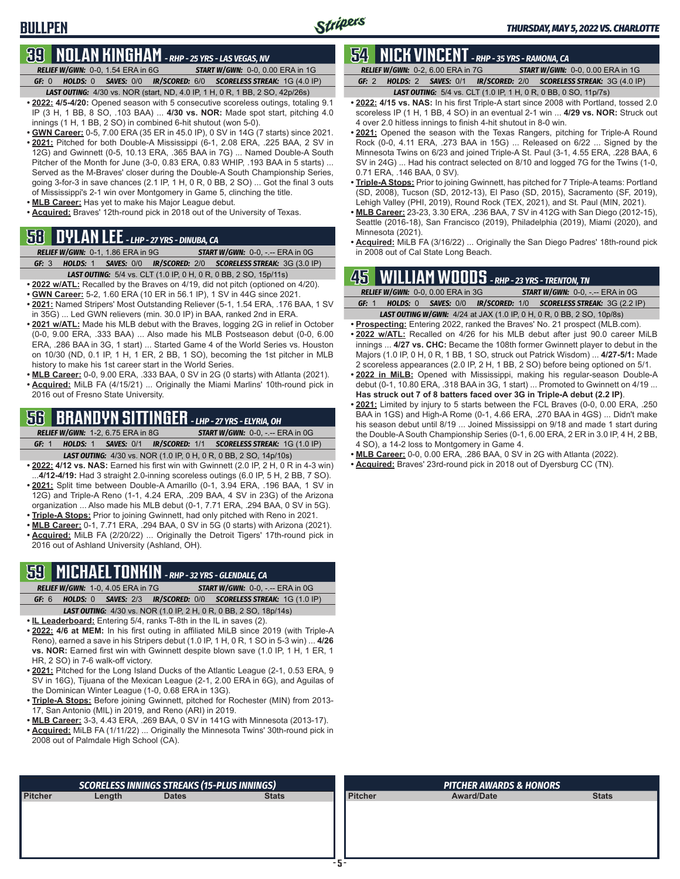# **39 NOLAN KINGHAM** *- RHP - 25 YRS - LAS VEGAS, NV*

*RELIEF W/GWN:*0-0, 1.54 ERA in 6G *START W/GWN:*0-0, 0.00 ERA in 1G *GF:*0 *HOLDS:*0 *SAVES:*0/0 *IR/SCORED:*6/0 *SCORELESS STREAK:*1G (4.0 IP) *LAST OUTING:*4/30 vs. NOR (start, ND, 4.0 IP, 1 H, 0 R, 1 BB, 2 SO, 42p/26s)

- **• 2022: 4/5-4/20:** Opened season with 5 consecutive scoreless outings, totaling 9.1 IP (3 H, 1 BB, 8 SO, .103 BAA) ... **4/30 vs. NOR:** Made spot start, pitching 4.0 innings (1 H, 1 BB, 2 SO) in combined 6-hit shutout (won 5-0).
- **• GWN Career:** 0-5, 7.00 ERA (35 ER in 45.0 IP), 0 SV in 14G (7 starts) since 2021. **• 2021:** Pitched for both Double-A Mississippi (6-1, 2.08 ERA, .225 BAA, 2 SV in 12G) and Gwinnett (0-5, 10.13 ERA, .365 BAA in 7G) ... Named Double-A South Pitcher of the Month for June (3-0, 0.83 ERA, 0.83 WHIP, .193 BAA in 5 starts) ... Served as the M-Braves' closer during the Double-A South Championship Series, going 3-for-3 in save chances (2.1 IP, 1 H, 0 R, 0 BB, 2 SO) ... Got the final 3 outs of Mississippi's 2-1 win over Montgomery in Game 5, clinching the title.
- **• MLB Career:** Has yet to make his Major League debut.
- **• Acquired:** Braves' 12th-round pick in 2018 out of the University of Texas.

## **58 DYLAN LEE** *- LHP - 27 YRS - DINUBA, CA*

- *RELIEF W/GWN:*0-1, 1.86 ERA in 9G *START W/GWN:*0-0, -.-- ERA in 0G
- *GF:*3 *HOLDS:*1 *SAVES:*0/0 *IR/SCORED:*2/0 *SCORELESS STREAK:*3G (3.0 IP) *LAST OUTING:*5/4 vs. CLT (1.0 IP, 0 H, 0 R, 0 BB, 2 SO, 15p/11s)
- **• 2022 w/ATL:** Recalled by the Braves on 4/19, did not pitch (optioned on 4/20).
- **• GWN Career:** 5-2, 1.60 ERA (10 ER in 56.1 IP), 1 SV in 44G since 2021.
- **• 2021:** Named Stripers' Most Outstanding Reliever (5-1, 1.54 ERA, .176 BAA, 1 SV in 35G) ... Led GWN relievers (min. 30.0 IP) in BAA, ranked 2nd in ERA.
- **• 2021 w/ATL:** Made his MLB debut with the Braves, logging 2G in relief in October (0-0, 9.00 ERA, .333 BAA) ... Also made his MLB Postseason debut (0-0, 6.00 ERA, .286 BAA in 3G, 1 start) ... Started Game 4 of the World Series vs. Houston on 10/30 (ND, 0.1 IP, 1 H, 1 ER, 2 BB, 1 SO), becoming the 1st pitcher in MLB history to make his 1st career start in the World Series.
- **• MLB Career:** 0-0, 9.00 ERA, .333 BAA, 0 SV in 2G (0 starts) with Atlanta (2021). **• Acquired:** MiLB FA (4/15/21) ... Originally the Miami Marlins' 10th-round pick in 2016 out of Fresno State University.

## **56 BRANDYN SITTINGER** *- LHP - 27 YRS - ELYRIA, OH*

*RELIEF W/GWN:*1-2, 6.75 ERA in 8G *START W/GWN:*0-0, -.-- ERA in 0G *GF:*1 *HOLDS:*1 *SAVES:*0/1 *IR/SCORED:*1/1 *SCORELESS STREAK:*1G (1.0 IP)

- *LAST OUTING:*4/30 vs. NOR (1.0 IP, 0 H, 0 R, 0 BB, 2 SO, 14p/10s) **• 2022: 4/12 vs. NAS:** Earned his first win with Gwinnett (2.0 IP, 2 H, 0 R in 4-3 win) ...**4/12-4/19:** Had 3 straight 2.0-inning scoreless outings (6.0 IP, 5 H, 2 BB, 7 SO).
- 2021: Split time between Double-A Amarillo (0-1, 3.94 ERA, .196 BAA, 1 SV in 12G) and Triple-A Reno (1-1, 4.24 ERA, .209 BAA, 4 SV in 23G) of the Arizona organization ... Also made his MLB debut (0-1, 7.71 ERA, .294 BAA, 0 SV in 5G).
- **• Triple-A Stops:** Prior to joining Gwinnett, had only pitched with Reno in 2021.
- **• MLB Career:** 0-1, 7.71 ERA, .294 BAA, 0 SV in 5G (0 starts) with Arizona (2021). **• Acquired:** MiLB FA (2/20/22) ... Originally the Detroit Tigers' 17th-round pick in 2016 out of Ashland University (Ashland, OH).

# **59 MICHAEL TONKIN** *- RHP - 32 YRS - GLENDALE, CA*

*RELIEF W/GWN:*1-0, 4.05 ERA in 7G *START W/GWN:*0-0, -.-- ERA in 0G *GF:*6 *HOLDS:*0 *SAVES:*2/3 *IR/SCORED:*0/0 *SCORELESS STREAK:*1G (1.0 IP)

- *LAST OUTING:*4/30 vs. NOR (1.0 IP, 2 H, 0 R, 0 BB, 2 SO, 18p/14s)
- **• IL Leaderboard:** Entering 5/4, ranks T-8th in the IL in saves (2). **• 2022: 4/6 at MEM:** In his first outing in affiliated MiLB since 2019 (with Triple-A Reno), earned a save in his Stripers debut (1.0 IP, 1 H, 0 R, 1 SO in 5-3 win) ... **4/26 vs. NOR:** Earned first win with Gwinnett despite blown save (1.0 IP, 1 H, 1 ER, 1
- HR, 2 SO) in 7-6 walk-off victory. **• 2021:** Pitched for the Long Island Ducks of the Atlantic League (2-1, 0.53 ERA, 9 SV in 16G), Tijuana of the Mexican League (2-1, 2.00 ERA in 6G), and Aguilas of the Dominican Winter League (1-0, 0.68 ERA in 13G).
- **• Triple-A Stops:** Before joining Gwinnett, pitched for Rochester (MIN) from 2013- 17, San Antonio (MIL) in 2019, and Reno (ARI) in 2019.
- **• MLB Career:** 3-3, 4.43 ERA, .269 BAA, 0 SV in 141G with Minnesota (2013-17).
- **• Acquired:** MiLB FA (1/11/22) ... Originally the Minnesota Twins' 30th-round pick in 2008 out of Palmdale High School (CA).

# **54 NICK VINCENT** *- RHP - 35 YRS - RAMONA, CA*

*RELIEF W/GWN:*0-2, 6.00 ERA in 7G *START W/GWN:*0-0, 0.00 ERA in 1G *GF:*2 *HOLDS:*2 *SAVES:*0/1 *IR/SCORED:*2/0 *SCORELESS STREAK:*3G (4.0 IP)

- *LAST OUTING:*5/4 vs. CLT (1.0 IP, 1 H, 0 R, 0 BB, 0 SO, 11p/7s)
- **• 2022: 4/15 vs. NAS:** In his first Triple-A start since 2008 with Portland, tossed 2.0 scoreless IP (1 H, 1 BB, 4 SO) in an eventual 2-1 win ... **4/29 vs. NOR:** Struck out 4 over 2.0 hitless innings to finish 4-hit shutout in 8-0 win.
- **• 2021:** Opened the season with the Texas Rangers, pitching for Triple-A Round Rock (0-0, 4.11 ERA, .273 BAA in 15G) ... Released on 6/22 ... Signed by the Minnesota Twins on 6/23 and joined Triple-A St. Paul (3-1, 4.55 ERA, .228 BAA, 6 SV in 24G) ... Had his contract selected on 8/10 and logged 7G for the Twins (1-0, 0.71 ERA, .146 BAA, 0 SV).
- **• Triple-A Stops:** Prior to joining Gwinnett, has pitched for 7 Triple-A teams: Portland (SD, 2008), Tucson (SD, 2012-13), El Paso (SD, 2015), Sacramento (SF, 2019), Lehigh Valley (PHI, 2019), Round Rock (TEX, 2021), and St. Paul (MIN, 2021).
- **• MLB Career:** 23-23, 3.30 ERA, .236 BAA, 7 SV in 412G with San Diego (2012-15), Seattle (2016-18), San Francisco (2019), Philadelphia (2019), Miami (2020), and Minnesota (2021).
- **• Acquired:** MiLB FA (3/16/22) ... Originally the San Diego Padres' 18th-round pick in 2008 out of Cal State Long Beach.

## **45 WILLIAM WOODS** *- RHP - 23 YRS - TRENTON, TN*

| <b>RELIEF W/GWN: 0-0, 0.00 ERA in 3G</b> |  | <b>START W/GWN: <math>0-0</math>.</b> -.-- ERA in $0G$                       |  |
|------------------------------------------|--|------------------------------------------------------------------------------|--|
| GF: $1$                                  |  | HOLDS: 0 SAVES: 0/0 IR/SCORED: 1/0 SCORELESS STREAK: 3G (2.2 IP)             |  |
|                                          |  | <b>LAST OUTING W/GWN:</b> 4/24 at JAX (1.0 IP, 0 H, 0 R, 0 BB, 2 SO, 10p/8s) |  |

- **• Prospecting:** Entering 2022, ranked the Braves' No. 21 prospect (MLB.com). **• 2022 w/ATL:** Recalled on 4/26 for his MLB debut after just 90.0 career MiLB
- innings ... **4/27 vs. CHC:** Became the 108th former Gwinnett player to debut in the Majors (1.0 IP, 0 H, 0 R, 1 BB, 1 SO, struck out Patrick Wisdom) ... **4/27-5/1:** Made 2 scoreless appearances (2.0 IP, 2 H, 1 BB, 2 SO) before being optioned on 5/1.
- **• 2022 in MiLB:** Opened with Mississippi, making his regular-season Double-A debut (0-1, 10.80 ERA, .318 BAA in 3G, 1 start) ... Promoted to Gwinnett on 4/19 ... **Has struck out 7 of 8 batters faced over 3G in Triple-A debut (2.2 IP)**.
- **• 2021:** Limited by injury to 5 starts between the FCL Braves (0-0, 0.00 ERA, .250 BAA in 1GS) and High-A Rome (0-1, 4.66 ERA, .270 BAA in 4GS) ... Didn't make his season debut until 8/19 ... Joined Mississippi on 9/18 and made 1 start during the Double-A South Championship Series (0-1, 6.00 ERA, 2 ER in 3.0 IP, 4 H, 2 BB, 4 SO), a 14-2 loss to Montgomery in Game 4.
- **• MLB Career:** 0-0, 0.00 ERA, .286 BAA, 0 SV in 2G with Atlanta (2022).
- **• Acquired:** Braves' 23rd-round pick in 2018 out of Dyersburg CC (TN).

|                |        | <b>SCORELESS INNINGS STREAKS (15-PLUS INNINGS)</b> |              |                | <b>PITCHER AWARDS &amp; HONORS</b> |              |  |  |  |
|----------------|--------|----------------------------------------------------|--------------|----------------|------------------------------------|--------------|--|--|--|
| <b>Pitcher</b> | Length | <b>Dates</b>                                       | <b>Stats</b> | <b>Pitcher</b> | <b>Award/Date</b>                  | <b>Stats</b> |  |  |  |
|                |        |                                                    |              |                |                                    |              |  |  |  |
|                |        |                                                    |              |                |                                    |              |  |  |  |
|                |        |                                                    |              |                |                                    |              |  |  |  |
|                |        |                                                    |              |                |                                    |              |  |  |  |
|                |        |                                                    |              |                |                                    |              |  |  |  |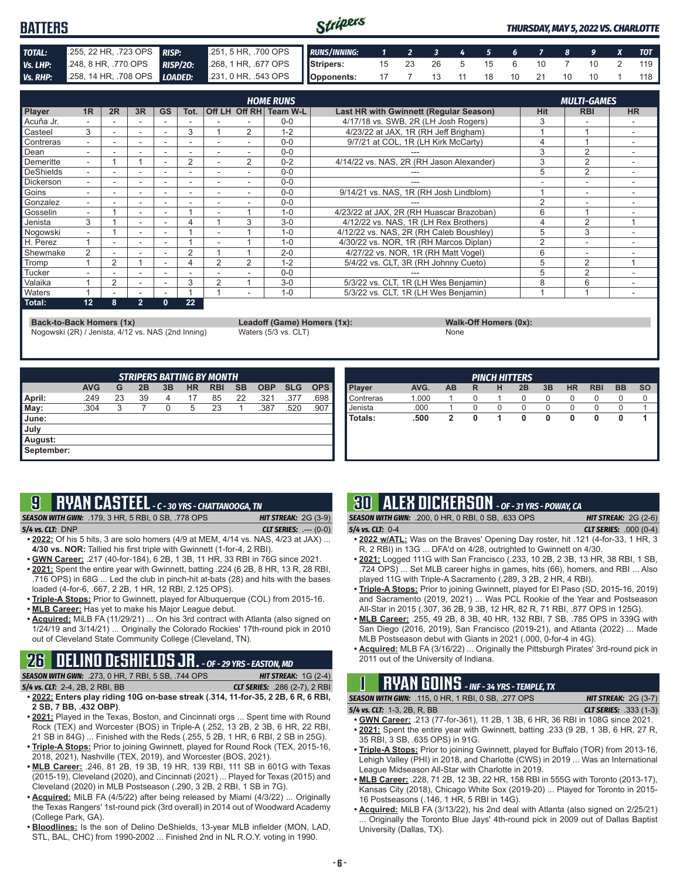### Stripers **BATTERS** *THURSDAY, MAY 5, 2022 VS. CHARLOTTE TOTAL:* .255, 22 HR, .723 OPS *RISP:* .251, 5 HR, .700 OPS *RUNS/INNING: 1 2 3 4 5 6 7 8 9 X TOT Vs. LHP:* .248, 8 HR, .770 OPS *RISP/2O:* .268, 1 HR, .677 OPS **Stripers:** 15 23 26 5 15 6 10 7 10 2 119 *Vs. RHP:* .258, 14 HR, .708 OPS *LOADED:* .231, 0 HR, .543 OPS **Opponents:** 17 7 13 11 18 10 21 10 10 1 118

|                  |                |    |                          |           |                |                          |                | <b>HOME RUNS</b> |                                          |                | <b>MULTI-GAMES</b>       |                          |
|------------------|----------------|----|--------------------------|-----------|----------------|--------------------------|----------------|------------------|------------------------------------------|----------------|--------------------------|--------------------------|
| Player           | 1 <sub>R</sub> | 2R | 3R                       | <b>GS</b> | Tot.           |                          | Off LH Off RH  | Team W-L         | Last HR with Gwinnett (Regular Season)   | <b>Hit</b>     | <b>RBI</b>               | <b>HR</b>                |
| Acuña Jr.        |                |    |                          |           |                |                          |                | $0 - 0$          | 4/17/18 vs. SWB, 2R (LH Josh Rogers)     | 3              |                          |                          |
| Casteel          | 3              |    | $\overline{\phantom{a}}$ | ۰         | 3              |                          | 2              | $1 - 2$          | 4/23/22 at JAX, 1R (RH Jeff Brigham)     |                |                          |                          |
| Contreras        |                |    |                          |           |                |                          |                | $0 - 0$          | 9/7/21 at COL, 1R (LH Kirk McCarty)      | 4              |                          |                          |
| Dean             | ۰.             |    |                          |           |                |                          |                | $0 - 0$          |                                          | 3              | $\overline{2}$           |                          |
| Demeritte        | ۰.             |    |                          | ۰         | $\overline{2}$ |                          | 2              | $0 - 2$          | 4/14/22 vs. NAS, 2R (RH Jason Alexander) | 3              | $\overline{2}$           |                          |
| DeShields        |                |    |                          |           |                |                          |                | $0 - 0$          |                                          | 5              | 2                        |                          |
| <b>Dickerson</b> | ۰.             |    | $\overline{\phantom{a}}$ |           |                | $\overline{\phantom{a}}$ |                | $0 - 0$          |                                          |                | $\overline{\phantom{a}}$ |                          |
| Goins            |                |    | $\overline{\phantom{a}}$ |           |                |                          |                | $0 - 0$          | 9/14/21 vs. NAS, 1R (RH Josh Lindblom)   |                | ۰                        |                          |
| Gonzalez         | ۰.             |    |                          |           |                |                          |                | $0 - 0$          |                                          | $\overline{2}$ |                          |                          |
| Gosselin         | ۰.             |    | $\overline{\phantom{a}}$ | ٠         |                | ÷                        |                | $1 - 0$          | 4/23/22 at JAX, 2R (RH Huascar Brazoban) | 6              |                          |                          |
| Jenista          | 3              |    | $\overline{\phantom{a}}$ |           |                |                          | 3              | $3-0$            | 4/12/22 vs. NAS, 1R (LH Rex Brothers)    | 4              | 2                        |                          |
| Nogowski         |                |    |                          |           |                |                          |                | $1 - 0$          | 4/12/22 vs. NAS, 2R (RH Caleb Boushley)  | 5              | 3                        |                          |
| H. Perez         |                |    |                          |           |                |                          |                | $1 - 0$          | 4/30/22 vs. NOR, 1R (RH Marcos Diplan)   | 2              | ۰                        |                          |
| Shewmake         | 2              | ۰  | $\overline{\phantom{a}}$ | ۰         | 2              |                          |                | $2 - 0$          | 4/27/22 vs. NOR, 1R (RH Matt Vogel)      | 6              | ۰                        |                          |
| Tromp            |                | 2  |                          |           | 4              | 2                        | $\mathfrak{p}$ | $1 - 2$          | 5/4/22 vs. CLT, 3R (RH Johnny Cueto)     | 5              | $\overline{2}$           |                          |
| Tucker           |                |    |                          |           |                |                          |                | $0 - 0$          |                                          | 5              | $\overline{2}$           |                          |
| Valaika          |                | 2  | $\overline{\phantom{a}}$ | ۰.        | 3              | $\overline{2}$           |                | $3-0$            | 5/3/22 vs. CLT, 1R (LH Wes Benjamin)     | 8              | 6                        | $\overline{\phantom{0}}$ |
| <b>Waters</b>    |                |    |                          |           |                |                          |                | $1 - 0$          | 5/3/22 vs. CLT, 1R (LH Wes Benjamin)     |                |                          |                          |
| Total:           | 12             | 8  | $\overline{2}$           | 0         | 22             |                          |                |                  |                                          |                |                          |                          |

**Back-to-Back Homers (1x) Leadoff (Game) Homers (1x): Walk-Off Homers (0x):**

Nogowski (2R) / Jenista, 4/12 vs. NAS (2nd Inning) Waters (5/3 vs. CLT) None

|            |            |    |    |    |           | <b>STRIPERS BATTING BY MONTH</b> |           |            |            |            |
|------------|------------|----|----|----|-----------|----------------------------------|-----------|------------|------------|------------|
|            | <b>AVG</b> | G  | 2B | 3B | <b>HR</b> | <b>RBI</b>                       | <b>SB</b> | <b>OBP</b> | <b>SLG</b> | <b>OPS</b> |
| April:     | .249       | 23 | 39 | 4  | 17        | 85                               | 22        | .321       | .377       | .698       |
| May:       | .304       | 3  | 7  | 0  | 5         | 23                               |           | .387       | .520       | .907       |
| June:      |            |    |    |    |           |                                  |           |            |            |            |
| July       |            |    |    |    |           |                                  |           |            |            |            |
| August:    |            |    |    |    |           |                                  |           |            |            |            |
| September: |            |    |    |    |           |                                  |           |            |            |            |

|           |       |    |   |   | <b>PINCH HITTERS</b> |    |           |            |           |           |
|-----------|-------|----|---|---|----------------------|----|-----------|------------|-----------|-----------|
| Player    | AVG.  | AB | R | н | 2B                   | 3B | <b>HR</b> | <b>RBI</b> | <b>BB</b> | <b>SO</b> |
| Contreras | 1.000 |    | 0 |   | 0                    | 0  | $\Omega$  | 0          | 0         |           |
| Jenista   | .000  |    |   | 0 | 0                    | 0  | 0         | 0          |           |           |
| Totals:   | .500  | 2  | 0 | 1 | 0                    | 0  | $\Omega$  | 0          | 0         |           |
|           |       |    |   |   |                      |    |           |            |           |           |
|           |       |    |   |   |                      |    |           |            |           |           |
|           |       |    |   |   |                      |    |           |            |           |           |
|           |       |    |   |   |                      |    |           |            |           |           |

| 9 |  | <b>RYAN CASTEEL</b> - C - 30 YRS - CHATTANOOGA, TN |  |
|---|--|----------------------------------------------------|--|
|   |  |                                                    |  |

*SEASON WITH GWN:*.179, 3 HR, 5 RBI, 0 SB, .778 OPS *HIT STREAK:* 2G (3-9)

*5/4 vs. CLT:*DNP *CLT SERIES:* .--- (0-0) **• 2022:** Of his 5 hits, 3 are solo homers (4/9 at MEM, 4/14 vs. NAS, 4/23 at JAX) ... **4/30 vs. NOR:** Tallied his first triple with Gwinnett (1-for-4, 2 RBI).

- **• GWN Career:** .217 (40-for-184), 6 2B, 1 3B, 11 HR, 33 RBI in 76G since 2021.
- **• 2021:** Spent the entire year with Gwinnett, batting .224 (6 2B, 8 HR, 13 R, 28 RBI, .716 OPS) in 68G ... Led the club in pinch-hit at-bats (28) and hits with the bases loaded (4-for-6, .667, 2 2B, 1 HR, 12 RBI, 2.125 OPS).
- **• Triple-A Stops:** Prior to Gwinnett, played for Albuquerque (COL) from 2015-16.
- **• MLB Career:** Has yet to make his Major League debut.
- **• Acquired:** MiLB FA (11/29/21) ... On his 3rd contract with Atlanta (also signed on 1/24/19 and 3/14/21) ... Originally the Colorado Rockies' 17th-round pick in 2010 out of Cleveland State Community College (Cleveland, TN).

## **26 DELINO DESHIELDS JR.** *- OF - 29 YRS - EASTON, MD*

*SEASON WITH GWN:*.273, 0 HR, 7 RBI, 5 SB, .744 OPS *HIT STREAK:* 1G (2-4)

- *5/4 vs. CLT:*2-4, 2B, 2 RBI, BB *CLT SERIES:* .286 (2-7), 2 RBI
- **• 2022: Enters play riding 10G on-base streak (.314, 11-for-35, 2 2B, 6 R, 6 RBI, 2 SB, 7 BB, .432 OBP)**.
- **• 2021:** Played in the Texas, Boston, and Cincinnati orgs ... Spent time with Round Rock (TEX) and Worcester (BOS) in Triple-A (.252, 13 2B, 2 3B, 6 HR, 22 RBI, 21 SB in 84G) ... Finished with the Reds (.255, 5 2B, 1 HR, 6 RBI, 2 SB in 25G).
- **• Triple-A Stops:** Prior to joining Gwinnett, played for Round Rock (TEX, 2015-16, 2018, 2021), Nashville (TEX, 2019), and Worcester (BOS, 2021).
- **• MLB Career:** .246, 81 2B, 19 3B, 19 HR, 139 RBI, 111 SB in 601G with Texas (2015-19), Cleveland (2020), and Cincinnati (2021) ... Played for Texas (2015) and Cleveland (2020) in MLB Postseason (.290, 3 2B, 2 RBI, 1 SB in 7G).
- **• Acquired:** MiLB FA (4/5/22) after being released by Miami (4/3/22) ... Originally the Texas Rangers' 1st-round pick (3rd overall) in 2014 out of Woodward Academy (College Park, GA).
- **• Bloodlines:** Is the son of Delino DeShields, 13-year MLB infielder (MON, LAD, STL, BAL, CHC) from 1990-2002 ... Finished 2nd in NL R.O.Y. voting in 1990.

# **30 ALEX DICKERSON** *- OF - 31 YRS - POWAY, CA*

*SEASON WITH GWN:*.200, 0 HR, 0 RBI, 0 SB, .633 OPS *HIT STREAK:* 2G (2-6) *5/4 vs. CLT:*0-4 *CLT SERIES:* .000 (0-4)

- **• 2022 w/ATL:** Was on the Braves' Opening Day roster, hit .121 (4-for-33, 1 HR, 3 R, 2 RBI) in 13G ... DFA'd on 4/28, outrighted to Gwinnett on 4/30.
- **• 2021:** Logged 111G with San Francisco (.233, 10 2B, 2 3B, 13 HR, 38 RBI, 1 SB, .724 OPS) ... Set MLB career highs in games, hits (66), homers, and RBI ... Also played 11G with Triple-A Sacramento (.289, 3 2B, 2 HR, 4 RBI).
- **• Triple-A Stops:** Prior to joining Gwinnett, played for El Paso (SD, 2015-16, 2019) and Sacramento (2019, 2021) ... Was PCL Rookie of the Year and Postseason All-Star in 2015 (.307, 36 2B, 9 3B, 12 HR, 82 R, 71 RBI, .877 OPS in 125G).
- **• MLB Career:** .255, 49 2B, 8 3B, 40 HR, 132 RBI, 7 SB, .785 OPS in 339G with San Diego (2016, 2019), San Francisco (2019-21), and Atlanta (2022) ... Made MLB Postseason debut with Giants in 2021 (.000, 0-for-4 in 4G).
- **• Acquired:** MLB FA (3/16/22) ... Originally the Pittsburgh Pirates' 3rd-round pick in 2011 out of the University of Indiana.

# **1 RYAN GOINS** *- INF - 34 YRS - TEMPLE, TX*

*SEASON WITH GWN:*.115, 0 HR, 1 RBI, 0 SB, .277 OPS *HIT STREAK:* 2G (3-7) *5/4 vs. CLT:*1-3, 2B, R, BB *CLT SERIES:* .333 (1-3)

- **• GWN Career:** .213 (77-for-361), 11 2B, 1 3B, 6 HR, 36 RBI in 108G since 2021. **• 2021:** Spent the entire year with Gwinnett, batting .233 (9 2B, 1 3B, 6 HR, 27 R, 35 RBI, 3 SB, .635 OPS) in 91G.
- **• Triple-A Stops:** Prior to joining Gwinnett, played for Buffalo (TOR) from 2013-16, Lehigh Valley (PHI) in 2018, and Charlotte (CWS) in 2019 ... Was an International League Midseason All-Star with Charlotte in 2019.
- **• MLB Career:** .228, 71 2B, 12 3B, 22 HR, 158 RBI in 555G with Toronto (2013-17), Kansas City (2018), Chicago White Sox (2019-20) ... Played for Toronto in 2015- 16 Postseasons (.146, 1 HR, 5 RBI in 14G).
- **• Acquired:** MiLB FA (3/13/22), his 2nd deal with Atlanta (also signed on 2/25/21) Originally the Toronto Blue Jays' 4th-round pick in 2009 out of Dallas Baptist University (Dallas, TX).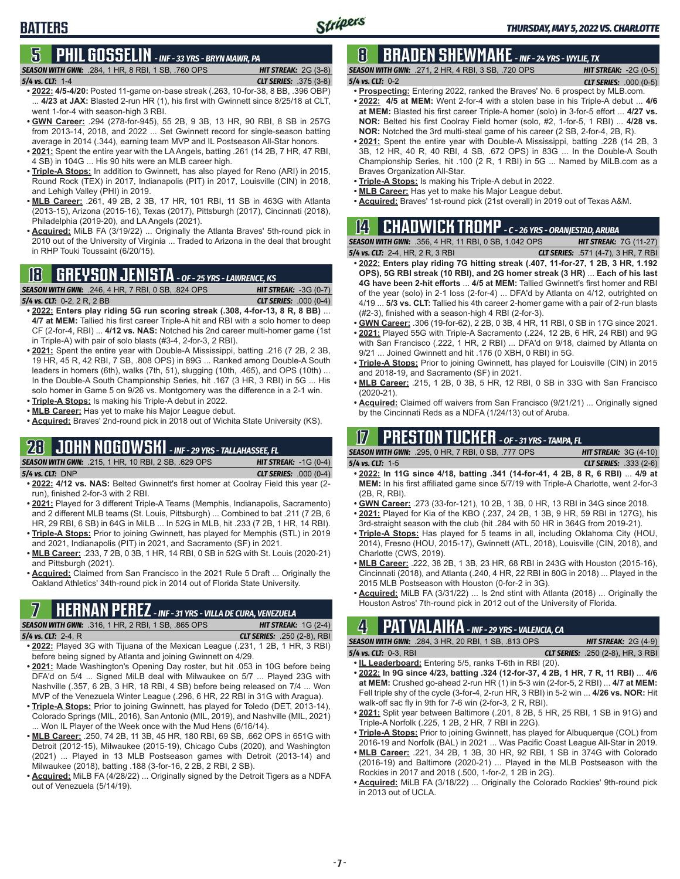# **5 PHIL GOSSELIN** *- INF - 33 YRS - BRYN MAWR, PA*

**BATTERS**

- *SEASON WITH GWN:*.284, 1 HR, 8 RBI, 1 SB, .760 OPS *HIT STREAK:* 2G (3-8) *5/4 vs. CLT:*1-4 *CLT SERIES:* .375 (3-8) **• 2022: 4/5-4/20:** Posted 11-game on-base streak (.263, 10-for-38, 8 BB, .396 OBP)
- ... **4/23 at JAX:** Blasted 2-run HR (1), his first with Gwinnett since 8/25/18 at CLT, went 1-for-4 with season-high 3 RBI. **• GWN Career:** .294 (278-for-945), 55 2B, 9 3B, 13 HR, 90 RBI, 8 SB in 257G
- from 2013-14, 2018, and 2022 ... Set Gwinnett record for single-season batting average in 2014 (.344), earning team MVP and IL Postseason All-Star honors.
- **• 2021:** Spent the entire year with the LA Angels, batting .261 (14 2B, 7 HR, 47 RBI, 4 SB) in 104G ... His 90 hits were an MLB career high.
- **• Triple-A Stops:** In addition to Gwinnett, has also played for Reno (ARI) in 2015, Round Rock (TEX) in 2017, Indianapolis (PIT) in 2017, Louisville (CIN) in 2018, and Lehigh Valley (PHI) in 2019.
- **• MLB Career:** .261, 49 2B, 2 3B, 17 HR, 101 RBI, 11 SB in 463G with Atlanta (2013-15), Arizona (2015-16), Texas (2017), Pittsburgh (2017), Cincinnati (2018), Philadelphia (2019-20), and LA Angels (2021).
- **• Acquired:** MiLB FA (3/19/22) ... Originally the Atlanta Braves' 5th-round pick in 2010 out of the University of Virginia ... Traded to Arizona in the deal that brought in RHP Touki Toussaint (6/20/15).

## **18 GREYSON JENISTA** *- OF - 25 YRS - LAWRENCE, KS*



- **• 2022: Enters play riding 5G run scoring streak (.308, 4-for-13, 8 R, 8 BB)** ... **4/7 at MEM:** Tallied his first career Triple-A hit and RBI with a solo homer to deep CF (2-for-4, RBI) ... **4/12 vs. NAS:** Notched his 2nd career multi-homer game (1st in Triple-A) with pair of solo blasts (#3-4, 2-for-3, 2 RBI).
- **• 2021:** Spent the entire year with Double-A Mississippi, batting .216 (7 2B, 2 3B, 19 HR, 45 R, 42 RBI, 7 SB, .808 OPS) in 89G ... Ranked among Double-A South leaders in homers (6th), walks (7th, 51), slugging (10th, .465), and OPS (10th) ... In the Double-A South Championship Series, hit .167 (3 HR, 3 RBI) in 5G ... His solo homer in Game 5 on 9/26 vs. Montgomery was the difference in a 2-1 win.
- **• Triple-A Stops:** Is making his Triple-A debut in 2022.
- **• MLB Career:** Has yet to make his Major League debut.
- **• Acquired:** Braves' 2nd-round pick in 2018 out of Wichita State University (KS).

# **28 JOHN NOGOWSKI** *- INF - 29 YRS - TALLAHASSEE, FL*

*SEASON WITH GWN:*.215, 1 HR, 10 RBI, 2 SB, .629 OPS *HIT STREAK:* -1G (0-4) *5/4 vs. CLT:*DNP *CLT SERIES:* .000 (0-4)

- **• 2022: 4/12 vs. NAS:** Belted Gwinnett's first homer at Coolray Field this year (2 run), finished 2-for-3 with 2 RBI.
- **• 2021:** Played for 3 different Triple-A Teams (Memphis, Indianapolis, Sacramento) and 2 different MLB teams (St. Louis, Pittsburgh) ... Combined to bat .211 (7 2B, 6 HR, 29 RBI, 6 SB) in 64G in MiLB ... In 52G in MLB, hit .233 (7 2B, 1 HR, 14 RBI). **• Triple-A Stops:** Prior to joining Gwinnett, has played for Memphis (STL) in 2019
- and 2021, Indianapolis (PIT) in 2021, and Sacramento (SF) in 2021. **• MLB Career:** .233, 7 2B, 0 3B, 1 HR, 14 RBI, 0 SB in 52G with St. Louis (2020-21)
- and Pittsburgh (2021).
- **• Acquired:** Claimed from San Francisco in the 2021 Rule 5 Draft ... Originally the Oakland Athletics' 34th-round pick in 2014 out of Florida State University.

**SEASON WITH GWN:** .316, 1 HR, 2 RBI, 1 SB, .865 OPS

*5/4 vs. CLT:*2-4, R *CLT SERIES:* .250 (2-8), RBI

- **• 2022:** Played 3G with Tijuana of the Mexican League (.231, 1 2B, 1 HR, 3 RBI) before being signed by Atlanta and joining Gwinnett on 4/29.
- **• 2021:** Made Washington's Opening Day roster, but hit .053 in 10G before being DFA'd on 5/4 ... Signed MiLB deal with Milwaukee on 5/7 ... Played 23G with Nashville (.357, 6 2B, 3 HR, 18 RBI, 4 SB) before being released on 7/4 ... Won MVP of the Venezuela Winter League (.296, 6 HR, 22 RBI in 31G with Aragua).
- **• Triple-A Stops:** Prior to joining Gwinnett, has played for Toledo (DET, 2013-14), Colorado Springs (MIL, 2016), San Antonio (MIL, 2019), and Nashville (MIL, 2021) ... Won IL Player of the Week once with the Mud Hens (6/16/14).
- **• MLB Career:** .250, 74 2B, 11 3B, 45 HR, 180 RBI, 69 SB, .662 OPS in 651G with Detroit (2012-15), Milwaukee (2015-19), Chicago Cubs (2020), and Washington (2021) ... Played in 13 MLB Postseason games with Detroit (2013-14) and Milwaukee (2018), batting .188 (3-for-16, 2 2B, 2 RBI, 2 SB).
- **• Acquired:** MiLB FA (4/28/22) ... Originally signed by the Detroit Tigers as a NDFA out of Venezuela (5/14/19).

# **8 BRADEN SHEWMAKE** *- INF - 24 YRS - WYLIE, TX*

*SEASON WITH GWN:*.271, 2 HR, 4 RBI, 3 SB, .720 OPS *HIT STREAK:* -2G (0-5) *5/4 vs. CLT:*0-2 *CLT SERIES:* .000 (0-5)

- - **• Prospecting:** Entering 2022, ranked the Braves' No. 6 prospect by MLB.com. **• 2022: 4/5 at MEM:** Went 2-for-4 with a stolen base in his Triple-A debut ... **4/6 at MEM:** Blasted his first career Triple-A homer (solo) in 3-for-5 effort ... **4/27 vs. NOR:** Belted his first Coolray Field homer (solo, #2, 1-for-5, 1 RBI) ... **4/28 vs. NOR:** Notched the 3rd multi-steal game of his career (2 SB, 2-for-4, 2B, R).
	- **• 2021:** Spent the entire year with Double-A Mississippi, batting .228 (14 2B, 3 3B, 12 HR, 40 R, 40 RBI, 4 SB, .672 OPS) in 83G ... In the Double-A South Championship Series, hit .100 (2 R, 1 RBI) in 5G ... Named by MiLB.com as a Braves Organization All-Star.
	- **• Triple-A Stops:** Is making his Triple-A debut in 2022.
	- **• MLB Career:** Has yet to make his Major League debut.
	- **• Acquired:** Braves' 1st-round pick (21st overall) in 2019 out of Texas A&M.

# **14 CHADWICK TROMP** *- C - 26 YRS - ORANJESTAD, ARUBA*

| <b>SEASON WITH GWN:</b> .356, 4 HR, 11 RBI, 0 SB, 1.042 OPS | <b>HIT STREAK: 7G (11-27)</b> |  |
|-------------------------------------------------------------|-------------------------------|--|
|                                                             |                               |  |

- *5/4 vs. CLT:*2-4, HR, 2 R, 3 RBI *CLT SERIES:* .571 (4-7), 3 HR, 7 RBI **• 2022: Enters play riding 7G hitting streak (.407, 11-for-27, 1 2B, 3 HR, 1.192 OPS), 5G RBI streak (10 RBI), and 2G homer streak (3 HR)** ... **Each of his last 4G have been 2-hit efforts** ... **4/5 at MEM:** Tallied Gwinnett's first homer and RBI of the year (solo) in 2-1 loss (2-for-4) ... DFA'd by Atlanta on 4/12, outrighted on 4/19 ... **5/3 vs. CLT:** Tallied his 4th career 2-homer game with a pair of 2-run blasts (#2-3), finished with a season-high 4 RBI (2-for-3).
- **• GWN Career:** .306 (19-for-62), 2 2B, 0 3B, 4 HR, 11 RBI, 0 SB in 17G since 2021.
- **• 2021:** Played 55G with Triple-A Sacramento (.224, 12 2B, 6 HR, 24 RBI) and 9G with San Francisco (.222, 1 HR, 2 RBI) ... DFA'd on 9/18, claimed by Atlanta on 9/21 ... Joined Gwinnett and hit .176 (0 XBH, 0 RBI) in 5G.
- **• Triple-A Stops:** Prior to joining Gwinnett, has played for Louisville (CIN) in 2015 and 2018-19, and Sacramento (SF) in 2021.
- **• MLB Career:** .215, 1 2B, 0 3B, 5 HR, 12 RBI, 0 SB in 33G with San Francisco (2020-21).
- **• Acquired:** Claimed off waivers from San Francisco (9/21/21) ... Originally signed by the Cincinnati Reds as a NDFA (1/24/13) out of Aruba.

## **17 PRESTON TUCKER** *- OF - 31 YRS - TAMPA, FL*

*SEASON WITH GWN:*.295, 0 HR, 7 RBI, 0 SB, .777 OPS *HIT STREAK:* 3G (4-10) *5/4 vs. CLT:*1-5 *CLT SERIES:* .333 (2-6)

- **• 2022: In 11G since 4/18, batting .341 (14-for-41, 4 2B, 8 R, 6 RBI)** ... **4/9 at MEM:** In his first affiliated game since 5/7/19 with Triple-A Charlotte, went 2-for-3  $(2R, R, RBI)$
- **• GWN Career:** .273 (33-for-121), 10 2B, 1 3B, 0 HR, 13 RBI in 34G since 2018.
- **• 2021:** Played for Kia of the KBO (.237, 24 2B, 1 3B, 9 HR, 59 RBI in 127G), his 3rd-straight season with the club (hit .284 with 50 HR in 364G from 2019-21).
- **• Triple-A Stops:** Has played for 5 teams in all, including Oklahoma City (HOU, 2014), Fresno (HOU, 2015-17), Gwinnett (ATL, 2018), Louisville (CIN, 2018), and Charlotte (CWS, 2019).
- **• MLB Career:** .222, 38 2B, 1 3B, 23 HR, 68 RBI in 243G with Houston (2015-16), Cincinnati (2018), and Atlanta (.240, 4 HR, 22 RBI in 80G in 2018) ... Played in the 2015 MLB Postseason with Houston (0-for-2 in 3G).
- **• Acquired:** MiLB FA (3/31/22) ... Is 2nd stint with Atlanta (2018) ... Originally the Houston Astros' 7th-round pick in 2012 out of the University of Florida.<br>1 SB, 865 OPS **HIT STREAK:** 1G (2-4) **AN PAT VALA INTA** and so the University of Florida.

# **4 PAT VALAIKA** *- INF - 29 YRS - VALENCIA, CA*

*SEASON WITH GWN:*.284, 3 HR, 20 RBI, 1 SB, .813 OPS *HIT STREAK:* 2G (4-9)

- *5/4 vs. CLT:*0-3, RBI *CLT SERIES:* .250 (2-8), HR, 3 RBI
- **• IL Leaderboard:** Entering 5/5, ranks T-6th in RBI (20).
- **• 2022: In 9G since 4/23, batting .324 (12-for-37, 4 2B, 1 HR, 7 R, 11 RBI)** ... **4/6 at MEM:** Crushed go-ahead 2-run HR (1) in 5-3 win (2-for-5, 2 RBI) ... **4/7 at MEM:** Fell triple shy of the cycle (3-for-4, 2-run HR, 3 RBI) in 5-2 win ... **4/26 vs. NOR:** Hit walk-off sac fly in 9th for 7-6 win (2-for-3, 2 R, RBI).
- **• 2021:** Split year between Baltimore (.201, 8 2B, 5 HR, 25 RBI, 1 SB in 91G) and Triple-A Norfolk (.225, 1 2B, 2 HR, 7 RBI in 22G).
- **• Triple-A Stops:** Prior to joining Gwinnett, has played for Albuquerque (COL) from 2016-19 and Norfolk (BAL) in 2021 ... Was Pacific Coast League All-Star in 2019.
- **• MLB Career:** .221, 34 2B, 1 3B, 30 HR, 92 RBI, 1 SB in 374G with Colorado (2016-19) and Baltimore (2020-21) ... Played in the MLB Postseason with the Rockies in 2017 and 2018 (.500, 1-for-2, 1 2B in 2G).
- **• Acquired:** MiLB FA (3/18/22) ... Originally the Colorado Rockies' 9th-round pick in 2013 out of UCLA.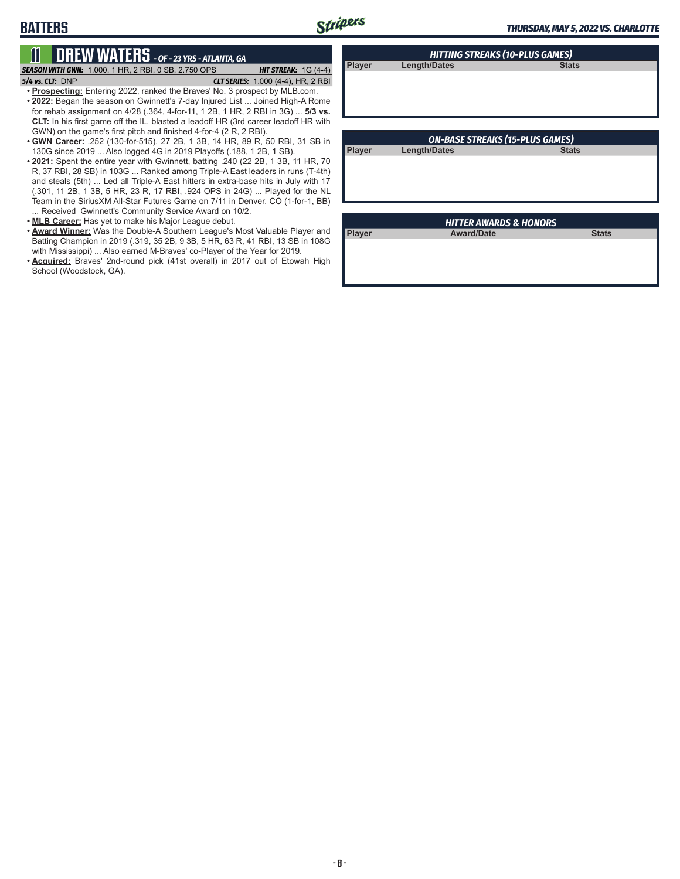**Player Length/Dates** 

# **11 DREW WATERS** *- OF - 23 YRS - ATLANTA, GA*

*SEASON WITH GWN:*1.000, 1 HR, 2 RBI, 0 SB, 2.750 OPS *HIT STREAK:* 1G (4-4) *5/4 vs. CLT:*DNP *CLT SERIES:* 1.000 (4-4), HR, 2 RBI

**BATTERS**

**• Prospecting:** Entering 2022, ranked the Braves' No. 3 prospect by MLB.com.

- **• 2022:** Began the season on Gwinnett's 7-day Injured List ... Joined High-A Rome for rehab assignment on 4/28 (.364, 4-for-11, 1 2B, 1 HR, 2 RBI in 3G) ... **5/3 vs. CLT:** In his first game off the IL, blasted a leadoff HR (3rd career leadoff HR with GWN) on the game's first pitch and finished 4-for-4 (2 R, 2 RBI).
- **• GWN Career:** .252 (130-for-515), 27 2B, 1 3B, 14 HR, 89 R, 50 RBI, 31 SB in 130G since 2019 ... Also logged 4G in 2019 Playoffs (.188, 1 2B, 1 SB).
- **• 2021:** Spent the entire year with Gwinnett, batting .240 (22 2B, 1 3B, 11 HR, 70 R, 37 RBI, 28 SB) in 103G ... Ranked among Triple-A East leaders in runs (T-4th) and steals (5th) ... Led all Triple-A East hitters in extra-base hits in July with 17 (.301, 11 2B, 1 3B, 5 HR, 23 R, 17 RBI, .924 OPS in 24G) ... Played for the NL Team in the SiriusXM All-Star Futures Game on 7/11 in Denver, CO (1-for-1, BB) ... Received Gwinnett's Community Service Award on 10/2.
- **• MLB Career:** Has yet to make his Major League debut.
- **• Award Winner:** Was the Double-A Southern League's Most Valuable Player and Batting Champion in 2019 (.319, 35 2B, 9 3B, 5 HR, 63 R, 41 RBI, 13 SB in 108G with Mississippi) ... Also earned M-Braves' co-Player of the Year for 2019.
- **• Acquired:** Braves' 2nd-round pick (41st overall) in 2017 out of Etowah High School (Woodstock, GA).

| <b>ON-BASE STREAKS (15-PLUS GAMES)</b> |                     |              |  |  |
|----------------------------------------|---------------------|--------------|--|--|
| <b>Player</b>                          | <b>Length/Dates</b> | <b>Stats</b> |  |  |
|                                        |                     |              |  |  |
|                                        |                     |              |  |  |
|                                        |                     |              |  |  |

*HITTING STREAKS (10-PLUS GAMES)*

| <b>HITTER AWARDS &amp; HONORS</b> |                   |              |  |  |
|-----------------------------------|-------------------|--------------|--|--|
| <b>Player</b>                     | <b>Award/Date</b> | <b>Stats</b> |  |  |
|                                   |                   |              |  |  |
|                                   |                   |              |  |  |
|                                   |                   |              |  |  |
|                                   |                   |              |  |  |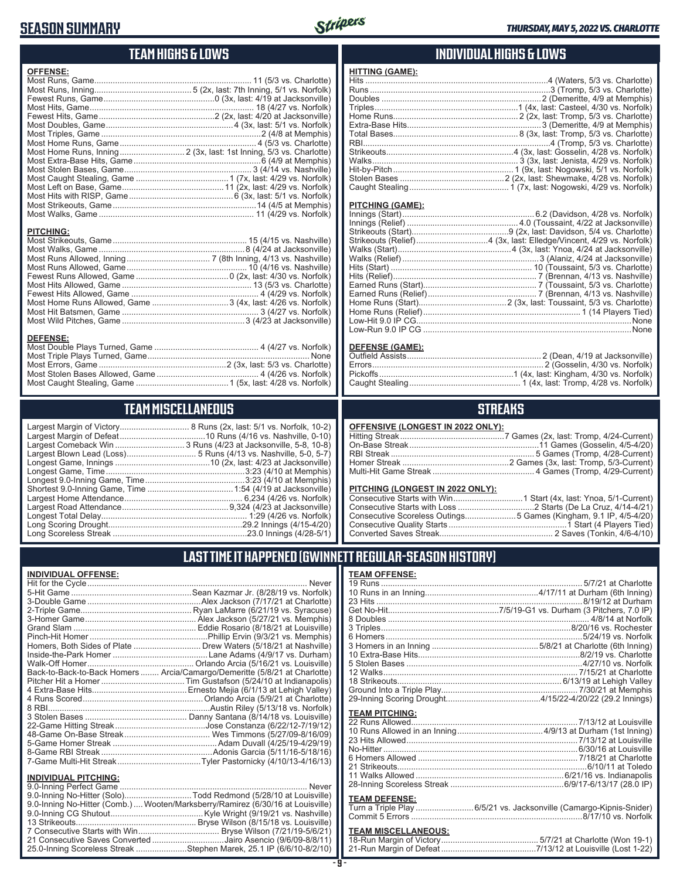## **SEASON SUMMARY**



### **TEAM HIGHS & LOWS OFFENSE:** Most Runs, Game.................................................................... 11 (5/3 vs. Charlotte) Most Runs, Inning.......................................... 5 (2x, last: 7th Inning, 5/1 vs. Norfolk) Fewest Runs, Game................................................0 (3x, last: 4/19 at Jacksonville) Most Hits, Game ....................................................................... 18 (4/27 vs. Norfolk) Fewest Hits, Game..................................................2 (2x, last: 4/20 at Jacksonville) Most Doubles, Game .......................................................4 (3x, last: 5/1 vs. Norfolk) Most Triples, Game .....................................................................2 (4/8 at Memphis) Most Home Runs, Game ........................................................... 4 (5/3 vs. Charlotte) Most Home Runs, Inning............................ 2 (3x, last: 1st Inning, 5/3 vs. Charlotte) Most Extra-Base Hits, Game .......................................................6 (4/9 at Memphis) Most Stolen Bases, Game ....................................................... 3 (4/14 vs. Nashville) Most Caught Stealing, Game ........................................1 (7x, last: 4/29 vs. Norfolk) Most Left on Base, Game ............................................11 (2x, last: 4/29 vs. Norfolk) Most Hits with RISP, Game .............................................6 (3x, last: 5/1 vs. Norfolk) Most Strikeouts, Game ..............................................................14 (4/5 at Memphis) Most Walks, Game ................................................................... 11 (4/29 vs. Norfolk) **PITCHING:** Most Strikeouts, Game .......................................................... 15 (4/15 vs. Nashville) Most Walks, Game ...............................................................8 (4/24 at Jacksonville) Most Runs Allowed, Inning .................................... 7 (8th Inning, 4/13 vs. Nashville) Most Runs Allowed, Game .................................................... 10 (4/16 vs. Nashville) Fewest Runs Allowed, Game ........................................0 (2x, last: 4/30 vs. Norfolk)

Most Hits Allowed, Game ........................................................ 13 (5/3 vs. Charlotte) Fewest Hits Allowed, Game ....................................................... 4 (4/29 vs. Norfolk) Most Home Runs Allowed, Game .................................3 (4x, last: 4/26 vs. Norfolk) Most Hit Batsmen, Game ........................................................... 3 (4/27 vs. Norfolk) Most Wild Pitches, Game .....................................................3 (4/23 at Jacksonville)

Most Double Plays Turned, Game ............................................. 4 (4/27 vs. Norfolk) Most Triple Plays Turned, Game ...................................................................... None Most Errors, Game .......................................................2 (3x, last: 5/3 vs. Charlotte) Most Stolen Bases Allowed, Game ............................................ 4 (4/26 vs. Norfolk) Most Caught Stealing, Game ........................................1 (5x, last: 4/28 vs. Norfolk)

**TEAM MISCELLANEOUS** Largest Margin of Victory.............................. 8 Runs (2x, last: 5/1 vs. Norfolk, 10-2) Largest Margin of Defeat.....................................10 Runs (4/16 vs. Nashville, 0-10) Largest Comeback Win .............................. 3 Runs (4/23 at Jacksonville, 5-8, 10-8) Largest Blown Lead (Loss).............................. 5 Runs (4/13 vs. Nashville, 5-0, 5-7) Longest Game, Innings .........................................10 (2x, last: 4/23 at Jacksonville) Longest Game, Time ............................................................3:23 (4/10 at Memphis) Longest 9.0-Inning Game, Time ...........................................3:23 (4/10 at Memphis) Shortest 9.0-Inning Game, Time .....................................1:54 (4/19 at Jacksonville) Largest Home Attendance ................................................... 6,234 (4/26 vs. Norfolk) Largest Road Attendance ..............................................9,324 (4/23 at Jacksonville) Longest Total Delay............................................................... 1:29 (4/26 vs. Norfolk) Long Scoring Drought..........................................................29.2 Innings (4/15-4/20) Long Scoreless Streak ..........................................................23.0 Innings (4/28-5/1)

### **INDIVIDUAL HIGHS & LOWS**

### **PITCHING (GAME):**

**HITTING (GAME):**

### **DEFENSE (GAME):**

## **STREAKS**

|  | <b>OFFENSIVE (LONGEST IN 2022 ONLY):</b> |
|--|------------------------------------------|
|--|------------------------------------------|

### **PITCHING (LONGEST IN 2022 ONLY):**

| Consecutive Scoreless Outings5 Games (Kingham, 9.1 IP, 4/5-4/20) |
|------------------------------------------------------------------|
|                                                                  |
|                                                                  |

### **LAST TIME IT HAPPENED (GWINNETT REGULAR-SEASON HISTORY)**

### **TEAM OFFENSE:**

| <b>TEAM PITCHING:</b> |                                                                    |
|-----------------------|--------------------------------------------------------------------|
|                       |                                                                    |
| <b>TEAM DEFENSE:</b>  | Turn a Triple Play 6/5/21 vs. Jacksonville (Camargo-Kipnis-Snider) |

### **TEAM MISCELLANEOUS:**

**DEFENSE:**

### **INDIVIDUAL OFFENSE:**

| Never                                                                      |
|----------------------------------------------------------------------------|
|                                                                            |
|                                                                            |
|                                                                            |
|                                                                            |
|                                                                            |
|                                                                            |
| Homers, Both Sides of Plate  Drew Waters (5/18/21 at Nashville)            |
|                                                                            |
|                                                                            |
| Back-to-Back-to-Back Homers  Arcia/Camargo/Demeritte (5/8/21 at Charlotte) |
|                                                                            |
|                                                                            |
|                                                                            |
|                                                                            |
|                                                                            |
|                                                                            |
|                                                                            |
|                                                                            |
|                                                                            |
|                                                                            |
|                                                                            |

### **INDIVIDUAL PITCHING:**

| 9.0-Inning No-Hitter (Comb.)  Wooten/Marksberry/Ramirez (6/30/16 at Louisville) |
|---------------------------------------------------------------------------------|
|                                                                                 |
|                                                                                 |
|                                                                                 |
| 21 Consecutive Saves Converted Jairo Asencio (9/6/09-8/8/11)                    |
| 25.0-Inning Scoreless Streak Stephen Marek, 25.1 IP (6/6/10-8/2/10)             |